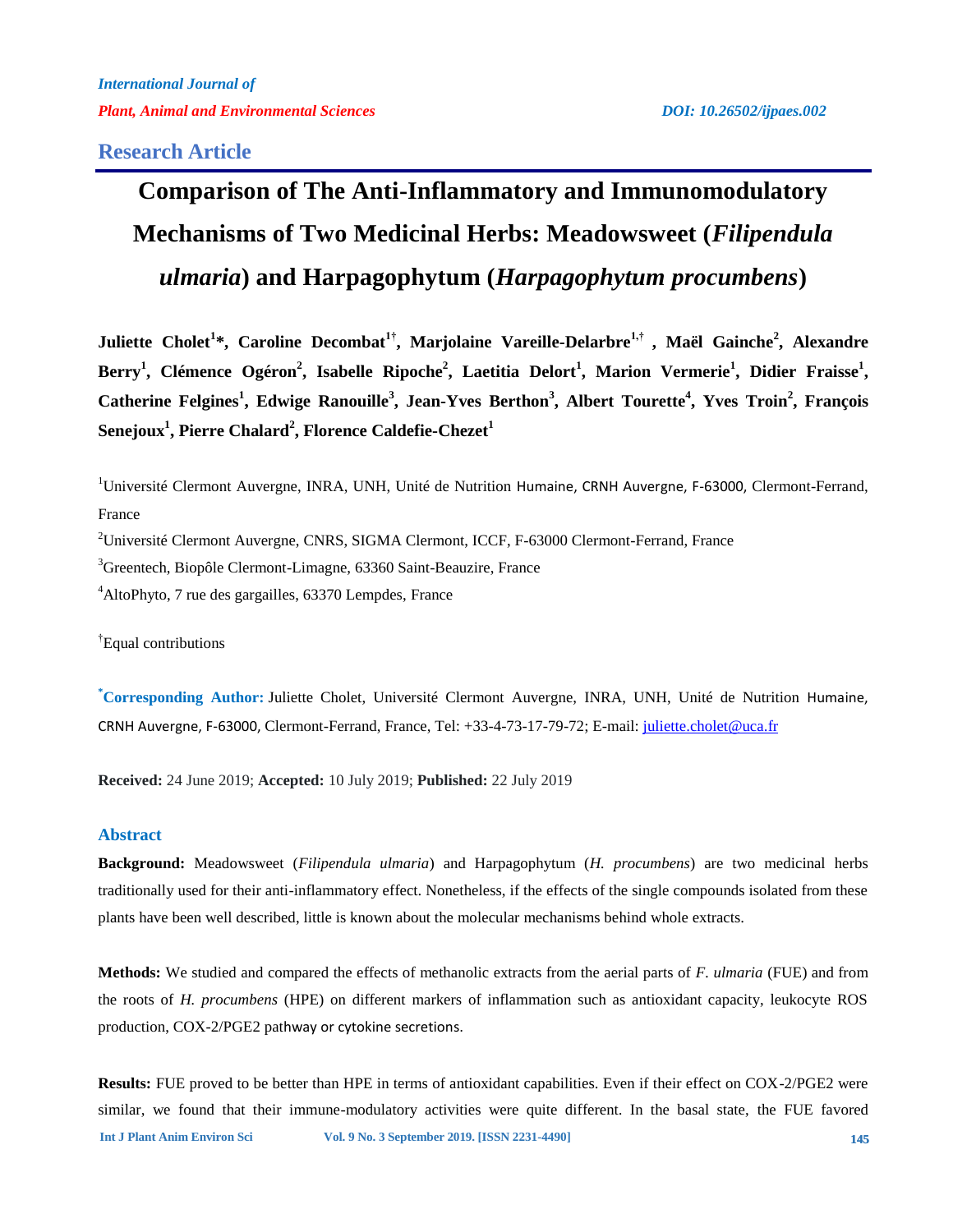# **Comparison of The Anti-Inflammatory and Immunomodulatory Mechanisms of Two Medicinal Herbs: Meadowsweet (***Filipendula ulmaria***) and Harpagophytum (***Harpagophytum procumbens***)**

**Juliette Cholet<sup>1</sup> \*, Caroline Decombat1†, Marjolaine Vareille-Delarbre1,† , Maël Gainche<sup>2</sup> , Alexandre Berry<sup>1</sup> , Clémence Ogéron<sup>2</sup> , Isabelle Ripoche<sup>2</sup> , Laetitia Delort<sup>1</sup> , Marion Vermerie<sup>1</sup> , Didier Fraisse<sup>1</sup> , Catherine Felgines<sup>1</sup> , Edwige Ranouille<sup>3</sup> , Jean-Yves Berthon<sup>3</sup> , Albert Tourette<sup>4</sup> , Yves Troin<sup>2</sup> , François Senejoux<sup>1</sup> , Pierre Chalard<sup>2</sup> , Florence Caldefie-Chezet<sup>1</sup>**

<sup>1</sup>Université Clermont Auvergne, INRA, UNH, Unité de Nutrition Humaine, CRNH Auvergne, F-63000, Clermont-Ferrand, France

<sup>2</sup>Université Clermont Auvergne, CNRS, SIGMA Clermont, ICCF, F-63000 Clermont-Ferrand, France

<sup>3</sup>Greentech, Biopôle Clermont-Limagne, 63360 Saint-Beauzire, France

<sup>4</sup>AltoPhyto, 7 rue des gargailles, 63370 Lempdes, France

†Equal contributions

**\*Corresponding Author:** Juliette Cholet, Université Clermont Auvergne, INRA, UNH, Unité de Nutrition Humaine, CRNH Auvergne, F-63000, Clermont-Ferrand, France, Tel: +33-4-73-17-79-72; E-mail: [juliette.cholet@uca.fr](mailto:juliette.cholet@uca.fr)

**Received:** 24 June 2019; **Accepted:** 10 July 2019; **Published:** 22 July 2019

### **Abstract**

**Background:** Meadowsweet (*Filipendula ulmaria*) and Harpagophytum (*H. procumbens*) are two medicinal herbs traditionally used for their anti-inflammatory effect. Nonetheless, if the effects of the single compounds isolated from these plants have been well described, little is known about the molecular mechanisms behind whole extracts.

**Methods:** We studied and compared the effects of methanolic extracts from the aerial parts of *F. ulmaria* (FUE) and from the roots of *H. procumbens* (HPE) on different markers of inflammation such as antioxidant capacity, leukocyte ROS production, COX-2/PGE2 pathway or cytokine secretions.

**Int J Plant Anim Environ Sci Vol. 9 No. 3 September 2019. [ISSN 2231-4490] 145 Results:** FUE proved to be better than HPE in terms of antioxidant capabilities. Even if their effect on COX-2/PGE2 were similar, we found that their immune-modulatory activities were quite different. In the basal state, the FUE favored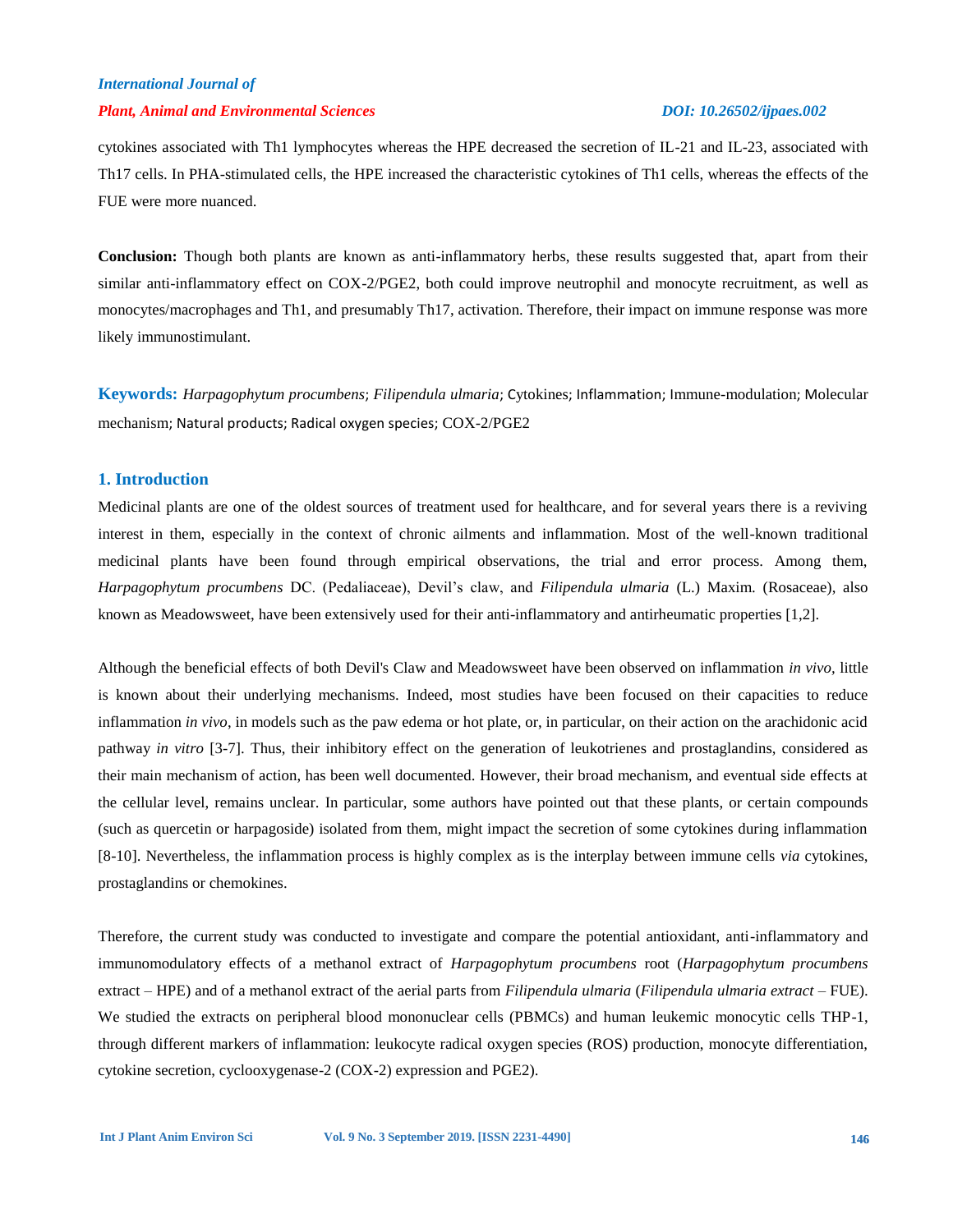### *Plant, Animal and Environmental Sciences DOI: 10.26502/ijpaes.002*

cytokines associated with Th1 lymphocytes whereas the HPE decreased the secretion of IL-21 and IL-23, associated with Th17 cells. In PHA-stimulated cells, the HPE increased the characteristic cytokines of Th1 cells, whereas the effects of the FUE were more nuanced.

**Conclusion:** Though both plants are known as anti-inflammatory herbs, these results suggested that, apart from their similar anti-inflammatory effect on COX-2/PGE2, both could improve neutrophil and monocyte recruitment, as well as monocytes/macrophages and Th1, and presumably Th17, activation. Therefore, their impact on immune response was more likely immunostimulant.

**Keywords:** *Harpagophytum procumbens*; *Filipendula ulmaria*; Cytokines; Inflammation; Immune-modulation; Molecular mechanism; Natural products; Radical oxygen species; COX-2/PGE2

### **1. Introduction**

Medicinal plants are one of the oldest sources of treatment used for healthcare, and for several years there is a reviving interest in them, especially in the context of chronic ailments and inflammation. Most of the well-known traditional medicinal plants have been found through empirical observations, the trial and error process. Among them, *Harpagophytum procumbens* DC. (Pedaliaceae), Devil's claw, and *Filipendula ulmaria* (L.) Maxim. (Rosaceae), also known as Meadowsweet, have been extensively used for their anti-inflammatory and antirheumatic properties [1,2].

Although the beneficial effects of both Devil's Claw and Meadowsweet have been observed on inflammation *in vivo,* little is known about their underlying mechanisms. Indeed, most studies have been focused on their capacities to reduce inflammation *in vivo*, in models such as the paw edema or hot plate, or, in particular, on their action on the arachidonic acid pathway *in vitro* [3-7]. Thus, their inhibitory effect on the generation of leukotrienes and prostaglandins, considered as their main mechanism of action, has been well documented. However, their broad mechanism, and eventual side effects at the cellular level, remains unclear. In particular, some authors have pointed out that these plants, or certain compounds (such as quercetin or harpagoside) isolated from them, might impact the secretion of some cytokines during inflammation [8-10]. Nevertheless, the inflammation process is highly complex as is the interplay between immune cells *via* cytokines, prostaglandins or chemokines.

Therefore, the current study was conducted to investigate and compare the potential antioxidant, anti-inflammatory and immunomodulatory effects of a methanol extract of *Harpagophytum procumbens* root (*Harpagophytum procumbens*  extract – HPE) and of a methanol extract of the aerial parts from *Filipendula ulmaria* (*Filipendula ulmaria extract* – FUE). We studied the extracts on peripheral blood mononuclear cells (PBMCs) and human leukemic monocytic cells THP-1, through different markers of inflammation: leukocyte radical oxygen species (ROS) production, monocyte differentiation, cytokine secretion, cyclooxygenase-2 (COX-2) expression and PGE2).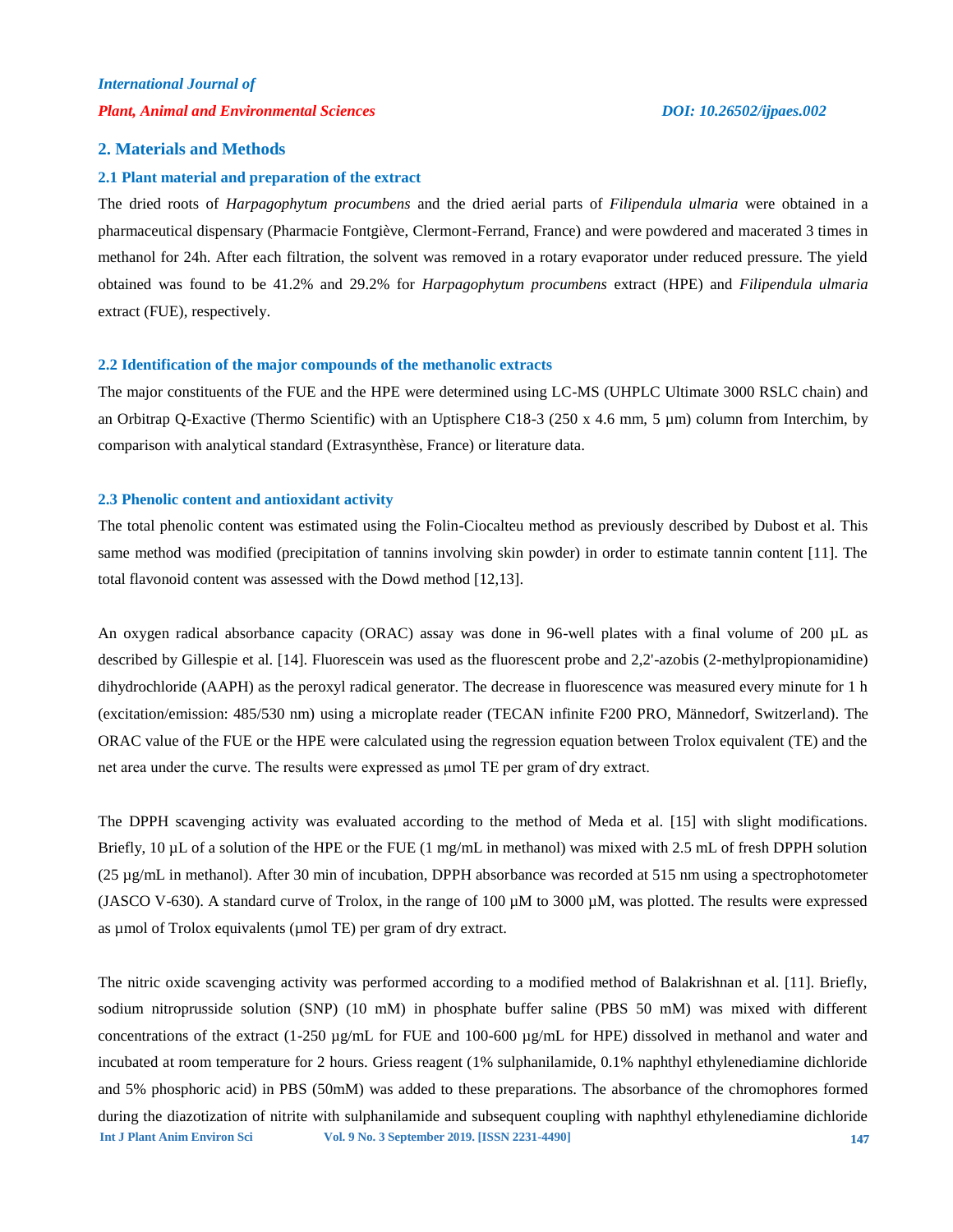### **2. Materials and Methods**

#### **2.1 Plant material and preparation of the extract**

The dried roots of *Harpagophytum procumbens* and the dried aerial parts of *Filipendula ulmaria* were obtained in a pharmaceutical dispensary (Pharmacie Fontgiève, Clermont-Ferrand, France) and were powdered and macerated 3 times in methanol for 24h. After each filtration, the solvent was removed in a rotary evaporator under reduced pressure. The yield obtained was found to be 41.2% and 29.2% for *Harpagophytum procumbens* extract (HPE) and *Filipendula ulmaria* extract (FUE), respectively.

#### **2.2 Identification of the major compounds of the methanolic extracts**

The major constituents of the FUE and the HPE were determined using LC-MS (UHPLC Ultimate 3000 RSLC chain) and an Orbitrap Q-Exactive (Thermo Scientific) with an Uptisphere C18-3 (250 x 4.6 mm, 5 µm) column from Interchim, by comparison with analytical standard (Extrasynthèse, France) or literature data.

#### **2.3 Phenolic content and antioxidant activity**

The total phenolic content was estimated using the Folin-Ciocalteu method as previously described by Dubost et al. This same method was modified (precipitation of tannins involving skin powder) in order to estimate tannin content [11]. The total flavonoid content was assessed with the Dowd method [12,13].

An oxygen radical absorbance capacity (ORAC) assay was done in 96-well plates with a final volume of 200 µL as described by Gillespie et al. [14]. Fluorescein was used as the fluorescent probe and 2,2'-azobis (2-methylpropionamidine) dihydrochloride (AAPH) as the peroxyl radical generator. The decrease in fluorescence was measured every minute for 1 h (excitation/emission: 485/530 nm) using a microplate reader (TECAN infinite F200 PRO, Männedorf, Switzerland). The ORAC value of the FUE or the HPE were calculated using the regression equation between Trolox equivalent (TE) and the net area under the curve. The results were expressed as μmol TE per gram of dry extract.

The DPPH scavenging activity was evaluated according to the method of Meda et al. [15] with slight modifications. Briefly, 10 µL of a solution of the HPE or the FUE (1 mg/mL in methanol) was mixed with 2.5 mL of fresh DPPH solution (25 µg/mL in methanol). After 30 min of incubation, DPPH absorbance was recorded at 515 nm using a spectrophotometer (JASCO V-630). A standard curve of Trolox, in the range of 100 µM to 3000 µM, was plotted. The results were expressed as umol of Trolox equivalents (umol TE) per gram of dry extract.

**Int J Plant Anim Environ Sci Vol. 9 No. 3 September 2019. [ISSN 2231-4490] 147** The nitric oxide scavenging activity was performed according to a modified method of Balakrishnan et al. [11]. Briefly, sodium nitroprusside solution (SNP) (10 mM) in phosphate buffer saline (PBS 50 mM) was mixed with different concentrations of the extract (1-250 µg/mL for FUE and 100-600 µg/mL for HPE) dissolved in methanol and water and incubated at room temperature for 2 hours. Griess reagent (1% sulphanilamide, 0.1% naphthyl ethylenediamine dichloride and 5% phosphoric acid) in PBS (50mM) was added to these preparations. The absorbance of the chromophores formed during the diazotization of nitrite with sulphanilamide and subsequent coupling with naphthyl ethylenediamine dichloride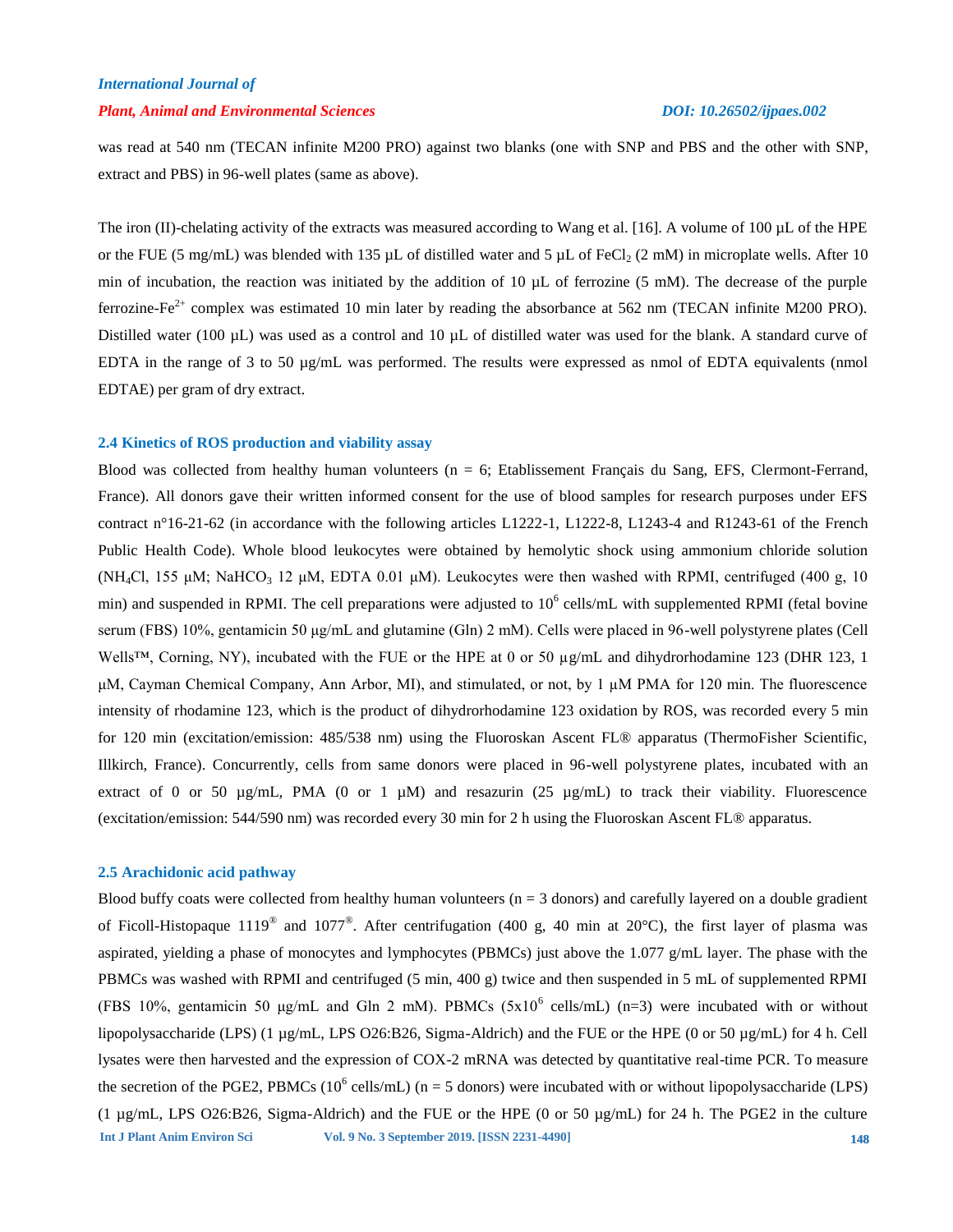#### *Plant, Animal and Environmental Sciences DOI: 10.26502/ijpaes.002*

was read at 540 nm (TECAN infinite M200 PRO) against two blanks (one with SNP and PBS and the other with SNP, extract and PBS) in 96-well plates (same as above).

The iron (II)-chelating activity of the extracts was measured according to Wang et al. [16]. A volume of 100 µL of the HPE or the FUE (5 mg/mL) was blended with 135 µL of distilled water and 5 µL of FeCl<sub>2</sub> (2 mM) in microplate wells. After 10 min of incubation, the reaction was initiated by the addition of 10  $\mu$ L of ferrozine (5 mM). The decrease of the purple ferrozine-Fe<sup>2+</sup> complex was estimated 10 min later by reading the absorbance at 562 nm (TECAN infinite M200 PRO). Distilled water (100 µL) was used as a control and 10 µL of distilled water was used for the blank. A standard curve of EDTA in the range of 3 to 50 µg/mL was performed. The results were expressed as nmol of EDTA equivalents (nmol EDTAE) per gram of dry extract.

#### **2.4 Kinetics of ROS production and viability assay**

Blood was collected from healthy human volunteers ( $n = 6$ ; Etablissement Français du Sang, EFS, Clermont-Ferrand, France). All donors gave their written informed consent for the use of blood samples for research purposes under EFS contract n°16-21-62 (in accordance with the following articles L1222-1, L1222-8, L1243-4 and R1243-61 of the French Public Health Code). Whole blood leukocytes were obtained by hemolytic shock using ammonium chloride solution (NH<sub>4</sub>Cl, 155 μM; NaHCO<sub>3</sub> 12 μM, EDTA 0.01 μM). Leukocytes were then washed with RPMI, centrifuged (400 g, 10) min) and suspended in RPMI. The cell preparations were adjusted to  $10^6$  cells/mL with supplemented RPMI (fetal bovine serum (FBS) 10%, gentamicin 50 μg/mL and glutamine (Gln) 2 mM). Cells were placed in 96-well polystyrene plates (Cell Wells™, Corning, NY), incubated with the FUE or the HPE at 0 or 50 µg/mL and dihydrorhodamine 123 (DHR 123, 1 μM, Cayman Chemical Company, Ann Arbor, MI), and stimulated, or not, by 1 µM PMA for 120 min. The fluorescence intensity of rhodamine 123, which is the product of dihydrorhodamine 123 oxidation by ROS, was recorded every 5 min for 120 min (excitation/emission: 485/538 nm) using the Fluoroskan Ascent FL® apparatus (ThermoFisher Scientific, Illkirch, France). Concurrently, cells from same donors were placed in 96-well polystyrene plates, incubated with an extract of 0 or 50  $\mu$ g/mL, PMA (0 or 1  $\mu$ M) and resazurin (25  $\mu$ g/mL) to track their viability. Fluorescence (excitation/emission: 544/590 nm) was recorded every 30 min for 2 h using the Fluoroskan Ascent FL® apparatus.

#### **2.5 Arachidonic acid pathway**

**Int J Plant Anim Environ Sci Vol. 9 No. 3 September 2019. [ISSN 2231-4490] 148** Blood buffy coats were collected from healthy human volunteers  $(n = 3$  donors) and carefully layered on a double gradient of Ficoll-Histopaque 1119<sup>®</sup> and 1077<sup>®</sup>. After centrifugation (400 g, 40 min at 20°C), the first layer of plasma was aspirated, yielding a phase of monocytes and lymphocytes (PBMCs) just above the 1.077 g/mL layer. The phase with the PBMCs was washed with RPMI and centrifuged (5 min, 400 g) twice and then suspended in 5 mL of supplemented RPMI (FBS 10%, gentamicin 50  $\mu$ g/mL and Gln 2 mM). PBMCs (5x10<sup>6</sup> cells/mL) (n=3) were incubated with or without lipopolysaccharide (LPS) (1 µg/mL, LPS O26:B26, Sigma-Aldrich) and the FUE or the HPE (0 or 50 µg/mL) for 4 h. Cell lysates were then harvested and the expression of COX-2 mRNA was detected by quantitative real-time PCR. To measure the secretion of the PGE2, PBMCs  $(10^6 \text{ cells/mL})$  (n = 5 donors) were incubated with or without lipopolysaccharide (LPS)  $(1 \mu g/mL$ , LPS O26:B26, Sigma-Aldrich) and the FUE or the HPE (0 or 50  $\mu g/mL$ ) for 24 h. The PGE2 in the culture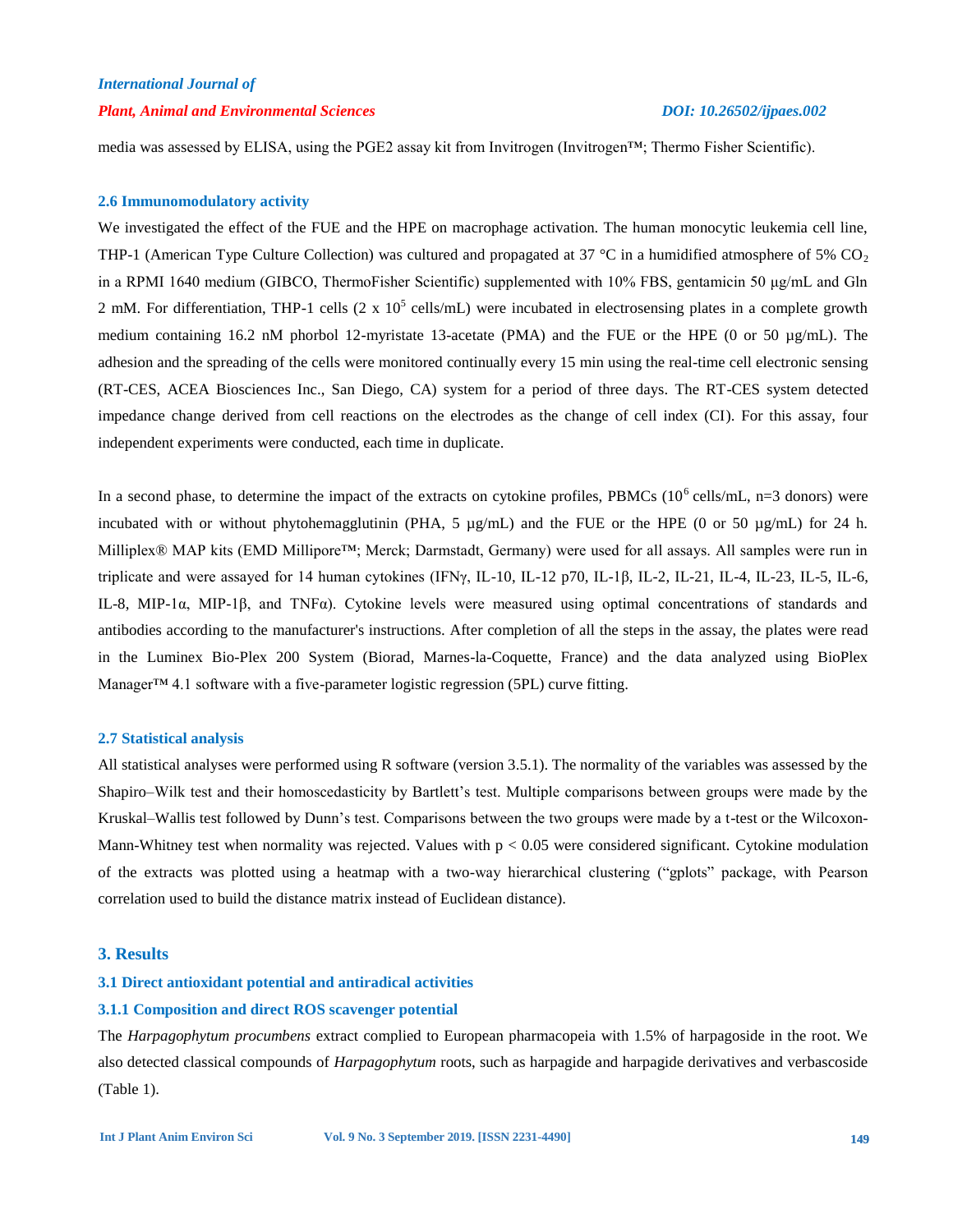### *Plant, Animal and Environmental Sciences DOI: 10.26502/ijpaes.002*

media was assessed by ELISA, using the PGE2 assay kit from Invitrogen (Invitrogen™; Thermo Fisher Scientific).

#### **2.6 Immunomodulatory activity**

We investigated the effect of the FUE and the HPE on macrophage activation. The human monocytic leukemia cell line, THP-1 (American Type Culture Collection) was cultured and propagated at 37 °C in a humidified atmosphere of 5%  $CO<sub>2</sub>$ in a RPMI 1640 medium (GIBCO, ThermoFisher Scientific) supplemented with 10% FBS, gentamicin 50 μg/mL and Gln 2 mM. For differentiation, THP-1 cells (2 x  $10^5$  cells/mL) were incubated in electrosensing plates in a complete growth medium containing 16.2 nM phorbol 12-myristate 13-acetate (PMA) and the FUE or the HPE (0 or 50 µg/mL). The adhesion and the spreading of the cells were monitored continually every 15 min using the real-time cell electronic sensing (RT-CES, ACEA Biosciences Inc., San Diego, CA) system for a period of three days. The RT-CES system detected impedance change derived from cell reactions on the electrodes as the change of cell index (CI). For this assay, four independent experiments were conducted, each time in duplicate.

In a second phase, to determine the impact of the extracts on cytokine profiles, PBMCs  $(10^6 \text{ cells/mL}, n=3 \text{ donors})$  were incubated with or without phytohemagglutinin (PHA, 5  $\mu$ g/mL) and the FUE or the HPE (0 or 50  $\mu$ g/mL) for 24 h. Milliplex® MAP kits (EMD Millipore™; Merck; Darmstadt, Germany) were used for all assays. All samples were run in triplicate and were assayed for 14 human cytokines (IFN $\gamma$ , IL-10, IL-12 p70, IL-1 $\beta$ , IL-2, IL-21, IL-4, IL-23, IL-5, IL-6, IL-8, MIP-1α, MIP-1β, and TNFα). Cytokine levels were measured using optimal concentrations of standards and antibodies according to the manufacturer's instructions. After completion of all the steps in the assay, the plates were read in the Luminex Bio-Plex 200 System (Biorad, Marnes-la-Coquette, France) and the data analyzed using BioPlex Manager™ 4.1 software with a five-parameter logistic regression (5PL) curve fitting.

#### **2.7 Statistical analysis**

All statistical analyses were performed using R software (version 3.5.1). The normality of the variables was assessed by the Shapiro–Wilk test and their homoscedasticity by Bartlett's test. Multiple comparisons between groups were made by the Kruskal–Wallis test followed by Dunn's test. Comparisons between the two groups were made by a t-test or the Wilcoxon-Mann-Whitney test when normality was rejected. Values with  $p < 0.05$  were considered significant. Cytokine modulation of the extracts was plotted using a heatmap with a two-way hierarchical clustering ("gplots" package, with Pearson correlation used to build the distance matrix instead of Euclidean distance).

#### **3. Results**

#### **3.1 Direct antioxidant potential and antiradical activities**

#### **3.1.1 Composition and direct ROS scavenger potential**

The *Harpagophytum procumbens* extract complied to European pharmacopeia with 1.5% of harpagoside in the root. We also detected classical compounds of *Harpagophytum* roots, such as harpagide and harpagide derivatives and verbascoside (Table 1).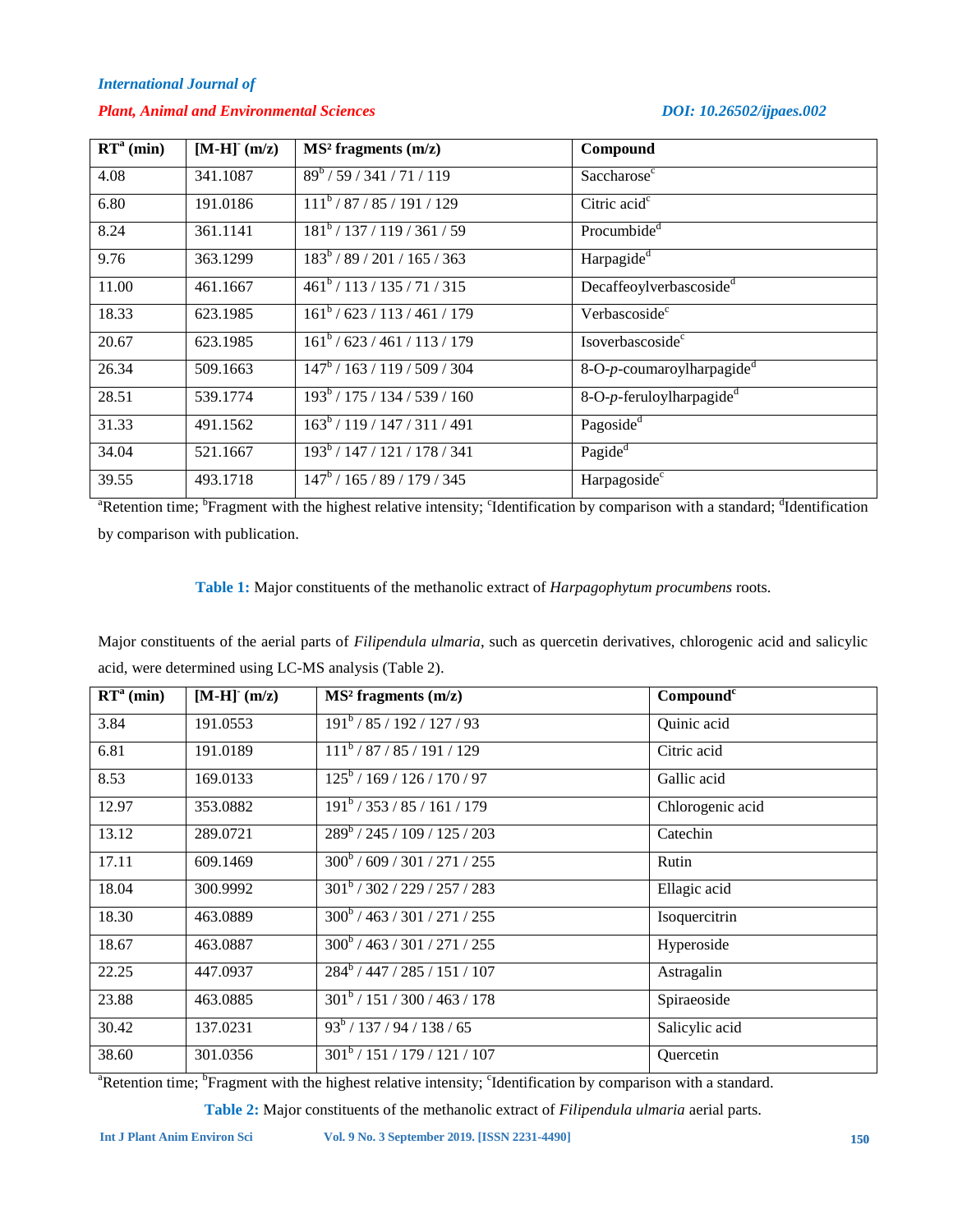### *Plant, Animal and Environmental Sciences DOI: 10.26502/ijpaes.002*

| $RTa$ (min) | $[M-H] (m/z)$ | $MS2$ fragments $(m/z)$                                       | Compound                              |
|-------------|---------------|---------------------------------------------------------------|---------------------------------------|
| 4.08        | 341.1087      | $89^b / 59 / 341 / 71 / 119$                                  | Saccharose <sup>c</sup>               |
| 6.80        | 191.0186      | $111^b / 87 / 85 / 191 / 129$                                 | Citric acid <sup>c</sup>              |
| 8.24        | 361.1141      | $181^b / 137 / 119 / 361 / 59$                                | Procumbide <sup>d</sup>               |
| 9.76        | 363.1299      | $183^{\circ}$ / 89 / 201 / 165 / 363                          | Harpagide <sup>d</sup>                |
| 11.00       | 461.1667      | $\frac{461^{\mathrm{b}}}{113}/\frac{135}{71}/\frac{315}{315}$ | Decaffeoylverbascoside <sup>d</sup>   |
| 18.33       | 623.1985      | $161^b / 623 / 113 / 461 / 179$                               | Verbascoside <sup>c</sup>             |
| 20.67       | 623.1985      | $161^b / 623 / 461 / 113 / 179$                               | Isoverbascoside <sup>c</sup>          |
| 26.34       | 509.1663      | $147^{\rm b}$ / 163 / 119 / 509 / 304                         | 8-O-p-coumaroylharpagide <sup>d</sup> |
| 28.51       | 539.1774      | $193^b$ / 175 / 134 / 539 / 160                               | 8-O-p-feruloylharpagide <sup>d</sup>  |
| 31.33       | 491.1562      | $163^b / 119 / 147 / 311 / 491$                               | Pagoside <sup>d</sup>                 |
| 34.04       | 521.1667      | $\frac{193^{6}}{193^{6}}$ / 147 / 121 / 178 / 341             | Pagide <sup>d</sup>                   |
| 39.55       | 493.1718      | $147^{\circ}$ / 165 / 89 / 179 / 345                          | Harpagoside <sup>c</sup>              |

<sup>a</sup>Retention time; <sup>b</sup>Fragment with the highest relative intensity; <sup>c</sup>Identification by comparison with a standard; <sup>d</sup>Identification by comparison with publication.

**Table 1:** Major constituents of the methanolic extract of *Harpagophytum procumbens* roots.

Major constituents of the aerial parts of *Filipendula ulmaria*, such as quercetin derivatives, chlorogenic acid and salicylic acid, were determined using LC-MS analysis (Table 2).

| RT <sup>a</sup> (min) | $[M-H]$ (m/z) | $MS2$ fragments $(m/z)$                   | $Compoundc$      |
|-----------------------|---------------|-------------------------------------------|------------------|
| 3.84                  | 191.0553      | $191^b / 85 / 192 / 127 / 93$             | Quinic acid      |
| 6.81                  | 191.0189      | $111^b / 87 / 85 / 191 / 129$             | Citric acid      |
| 8.53                  | 169.0133      | $125^{\rm b}$ / 169 / 126 / 170 / 97      | Gallic acid      |
| 12.97                 | 353.0882      | $191^b$ / 353 / 85 / 161 / 179            | Chlorogenic acid |
| 13.12                 | 289.0721      | $289^{\rm b}$ / 245 / 109 / 125 / 203     | Catechin         |
| 17.11                 | 609.1469      | $300^{\rm b}$ / 609 / 301 / 271 / 255     | Rutin            |
| 18.04                 | 300.9992      | $\frac{1}{301^b}$ / 302 / 229 / 257 / 283 | Ellagic acid     |
| 18.30                 | 463.0889      | $\frac{300^6}{463}$ / 301 / 271 / 255     | Isoquercitrin    |
| 18.67                 | 463.0887      | $300^{\rm b}$ / 463 / 301 / 271 / 255     | Hyperoside       |
| 22.25                 | 447.0937      | $\frac{284^b}{447}/\frac{285}{151}/107$   | Astragalin       |
| 23.88                 | 463.0885      | $301^{\rm b}$ / 151 / 300 / 463 / 178     | Spiraeoside      |
| 30.42                 | 137.0231      | $93^b$ / 137 / 94 / 138 / 65              | Salicylic acid   |
| 38.60                 | 301.0356      | $301^{\rm b}$ / 151 / 179 / 121 / 107     | Quercetin        |

<sup>a</sup>Retention time; <sup>b</sup>Fragment with the highest relative intensity; <sup>c</sup>Identification by comparison with a standard.

**Table 2:** Major constituents of the methanolic extract of *Filipendula ulmaria* aerial parts.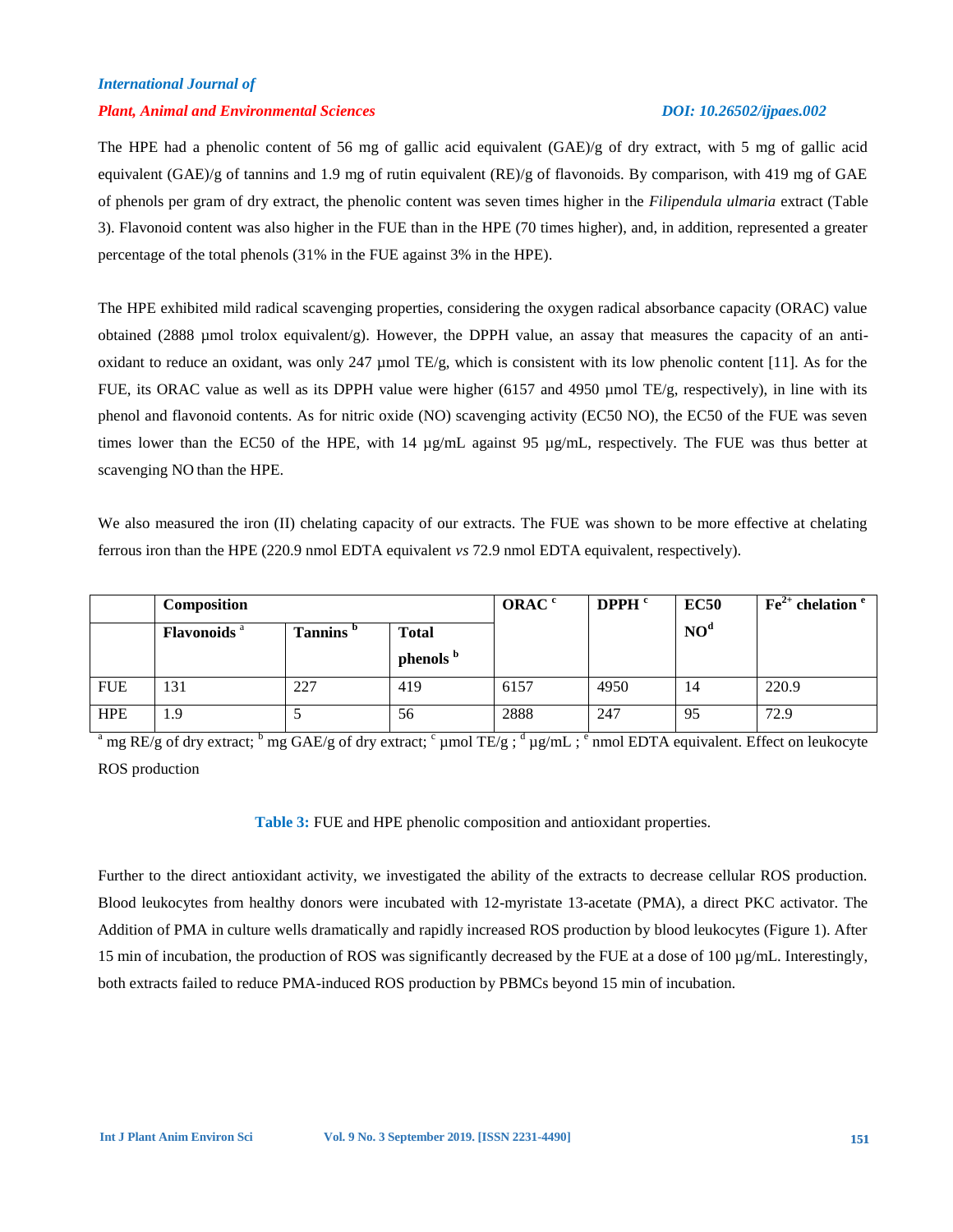#### *Plant, Animal and Environmental Sciences DOI: 10.26502/ijpaes.002*

The HPE had a phenolic content of 56 mg of gallic acid equivalent (GAE)/g of dry extract, with 5 mg of gallic acid equivalent (GAE)/g of tannins and 1.9 mg of rutin equivalent (RE)/g of flavonoids. By comparison, with 419 mg of GAE of phenols per gram of dry extract, the phenolic content was seven times higher in the *Filipendula ulmaria* extract (Table 3). Flavonoid content was also higher in the FUE than in the HPE (70 times higher), and, in addition, represented a greater percentage of the total phenols (31% in the FUE against 3% in the HPE).

The HPE exhibited mild radical scavenging properties, considering the oxygen radical absorbance capacity (ORAC) value obtained (2888 µmol trolox equivalent/g). However, the DPPH value, an assay that measures the capacity of an antioxidant to reduce an oxidant, was only 247  $\mu$ mol TE/g, which is consistent with its low phenolic content [11]. As for the FUE, its ORAC value as well as its DPPH value were higher (6157 and 4950 µmol TE/g, respectively), in line with its phenol and flavonoid contents. As for nitric oxide (NO) scavenging activity (EC50 NO), the EC50 of the FUE was seven times lower than the EC50 of the HPE, with 14 µg/mL against 95 µg/mL, respectively. The FUE was thus better at scavenging NO than the HPE.

We also measured the iron (II) chelating capacity of our extracts. The FUE was shown to be more effective at chelating ferrous iron than the HPE (220.9 nmol EDTA equivalent *vs* 72.9 nmol EDTA equivalent, respectively).

|            | Composition                    | ORAC <sup>c</sup>    | DPPH <sup>c</sup>    | <b>EC50</b> | $\text{Fe}^{2+}$ chelation $\text{e}$ |                 |       |  |
|------------|--------------------------------|----------------------|----------------------|-------------|---------------------------------------|-----------------|-------|--|
|            | <b>Flavonoids</b> <sup>a</sup> | Tannins <sup>b</sup> | <b>Total</b>         |             |                                       | NO <sup>d</sup> |       |  |
|            |                                |                      | phenols <sup>b</sup> |             |                                       |                 |       |  |
| <b>FUE</b> | 131                            | 227                  | 419                  | 6157        | 4950                                  | 14              | 220.9 |  |
| <b>HPE</b> | l.9                            | ◡                    | 56                   | 2888        | 247                                   | 95              | 72.9  |  |

<sup>a</sup> mg RE/g of dry extract; <sup>b</sup> mg GAE/g of dry extract; <sup>c</sup> µmol TE/g; <sup>d</sup> µg/mL; <sup>e</sup> nmol EDTA equivalent. Effect on leukocyte ROS production

#### **Table 3:** FUE and HPE phenolic composition and antioxidant properties.

Further to the direct antioxidant activity, we investigated the ability of the extracts to decrease cellular ROS production. Blood leukocytes from healthy donors were incubated with 12-myristate 13-acetate (PMA), a direct PKC activator. The Addition of PMA in culture wells dramatically and rapidly increased ROS production by blood leukocytes (Figure 1). After 15 min of incubation, the production of ROS was significantly decreased by the FUE at a dose of 100 µg/mL. Interestingly, both extracts failed to reduce PMA-induced ROS production by PBMCs beyond 15 min of incubation.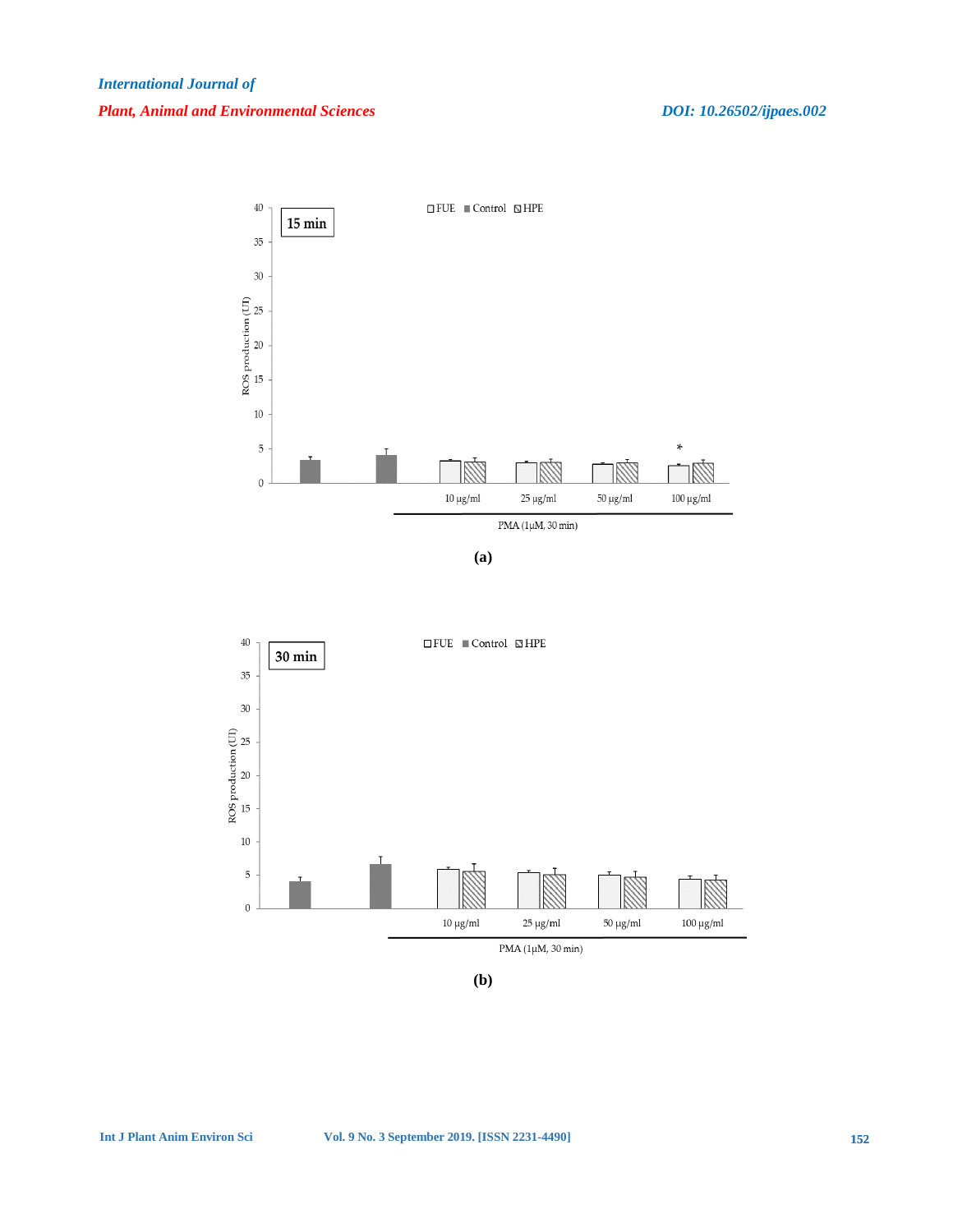

**(a)**

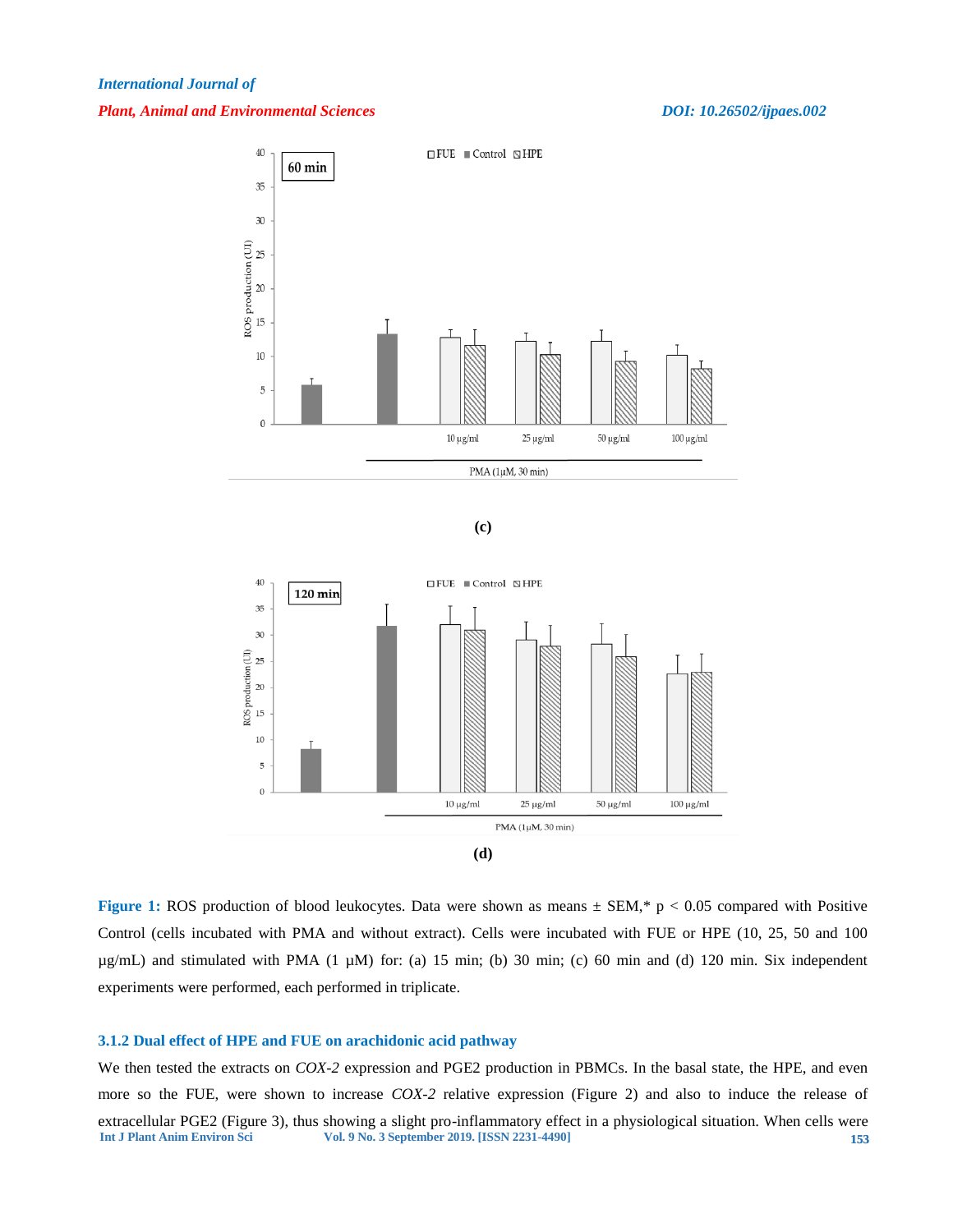#### *Plant, Animal and Environmental Sciences DOI: 10.26502/ijpaes.002*



**Figure 1:** ROS production of blood leukocytes. Data were shown as means  $\pm$  SEM,\* p < 0.05 compared with Positive Control (cells incubated with PMA and without extract). Cells were incubated with FUE or HPE (10, 25, 50 and 100  $\mu$ g/mL) and stimulated with PMA (1  $\mu$ M) for: (a) 15 min; (b) 30 min; (c) 60 min and (d) 120 min. Six independent experiments were performed, each performed in triplicate.

#### **3.1.2 Dual effect of HPE and FUE on arachidonic acid pathway**

**Int J Plant Anim Environ Sci Vol. 9 No. 3 September 2019. [ISSN 2231-4490] 153** We then tested the extracts on *COX-2* expression and PGE2 production in PBMCs. In the basal state, the HPE, and even more so the FUE, were shown to increase *COX-2* relative expression (Figure 2) and also to induce the release of extracellular PGE2 (Figure 3), thus showing a slight pro-inflammatory effect in a physiological situation. When cells were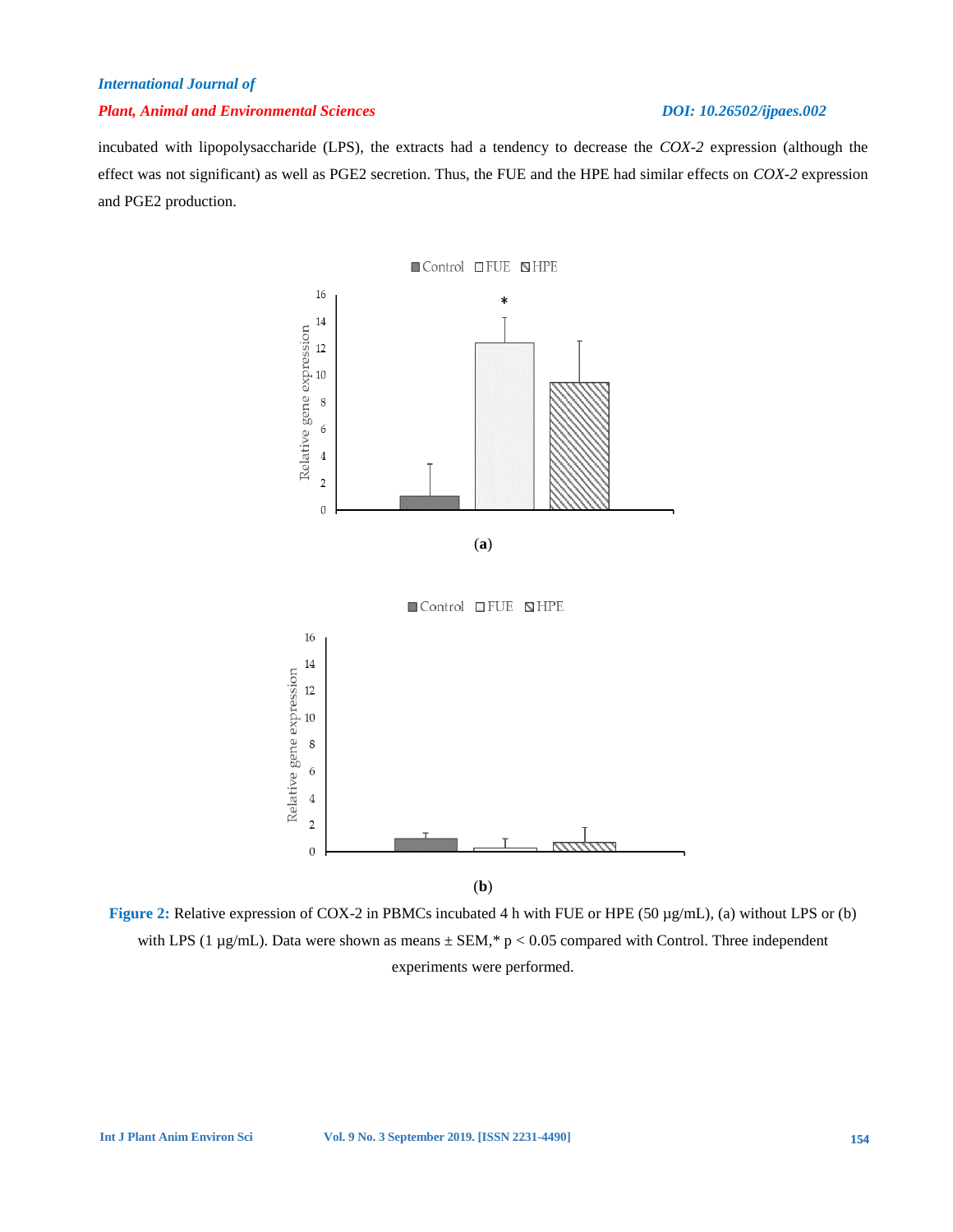### *Plant, Animal and Environmental Sciences DOI: 10.26502/ijpaes.002*

incubated with lipopolysaccharide (LPS), the extracts had a tendency to decrease the *COX-2* expression (although the effect was not significant) as well as PGE2 secretion. Thus, the FUE and the HPE had similar effects on *COX-2* expression and PGE2 production.



**Figure 2:** Relative expression of COX-2 in PBMCs incubated 4 h with FUE or HPE (50 µg/mL), (a) without LPS or (b) with LPS (1  $\mu$ g/mL). Data were shown as means  $\pm$  SEM,\* p < 0.05 compared with Control. Three independent experiments were performed.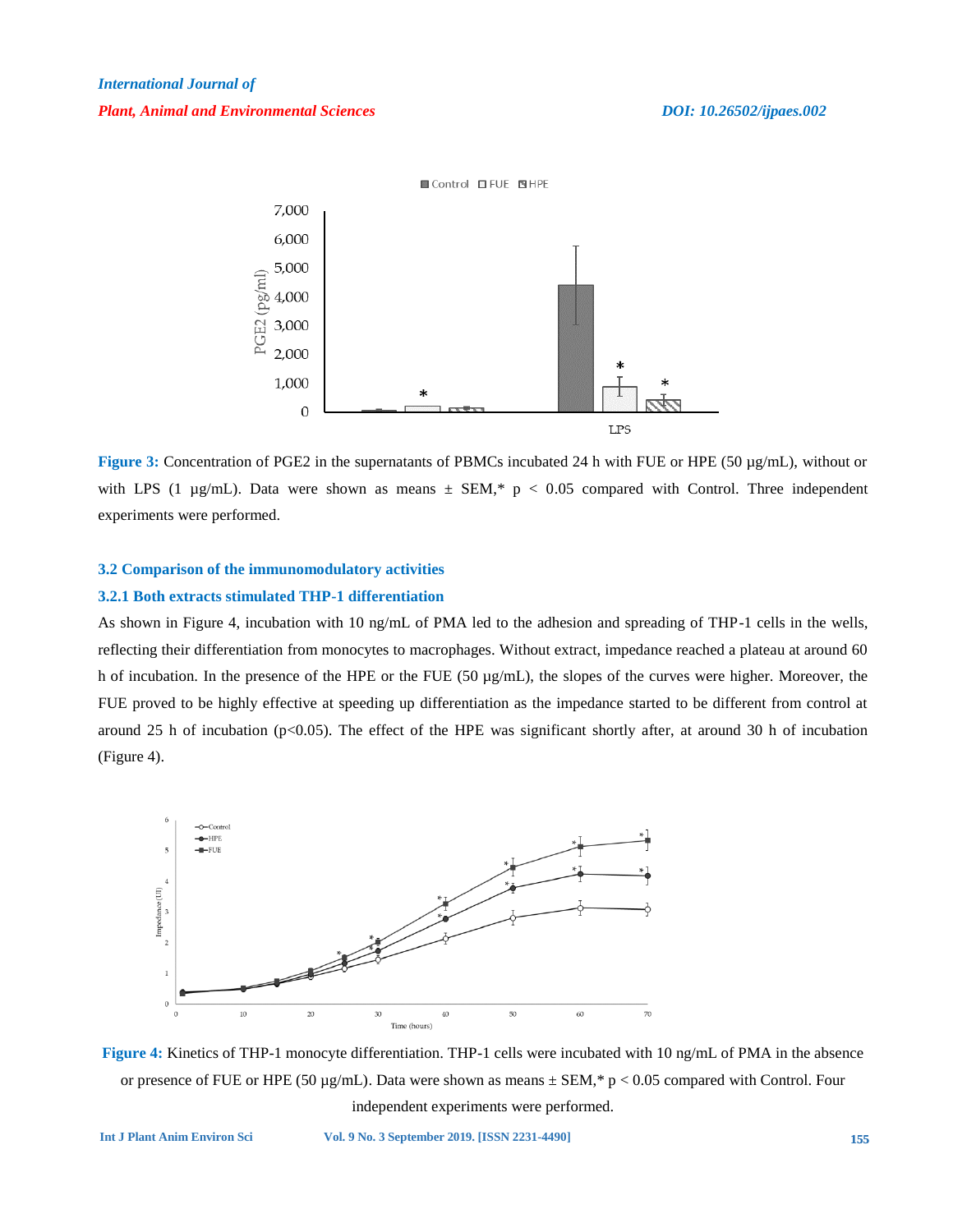

**Figure 3:** Concentration of PGE2 in the supernatants of PBMCs incubated 24 h with FUE or HPE (50 µg/mL), without or with LPS (1 µg/mL). Data were shown as means  $\pm$  SEM,\* p < 0.05 compared with Control. Three independent experiments were performed.

#### **3.2 Comparison of the immunomodulatory activities**

#### **3.2.1 Both extracts stimulated THP-1 differentiation**

As shown in Figure 4, incubation with 10 ng/mL of PMA led to the adhesion and spreading of THP-1 cells in the wells, reflecting their differentiation from monocytes to macrophages. Without extract, impedance reached a plateau at around 60 h of incubation. In the presence of the HPE or the FUE (50  $\mu$ g/mL), the slopes of the curves were higher. Moreover, the FUE proved to be highly effective at speeding up differentiation as the impedance started to be different from control at around 25 h of incubation ( $p<0.05$ ). The effect of the HPE was significant shortly after, at around 30 h of incubation (Figure 4).



**Figure 4:** Kinetics of THP-1 monocyte differentiation. THP-1 cells were incubated with 10 ng/mL of PMA in the absence or presence of FUE or HPE (50  $\mu$ g/mL). Data were shown as means  $\pm$  SEM,\* p < 0.05 compared with Control. Four independent experiments were performed.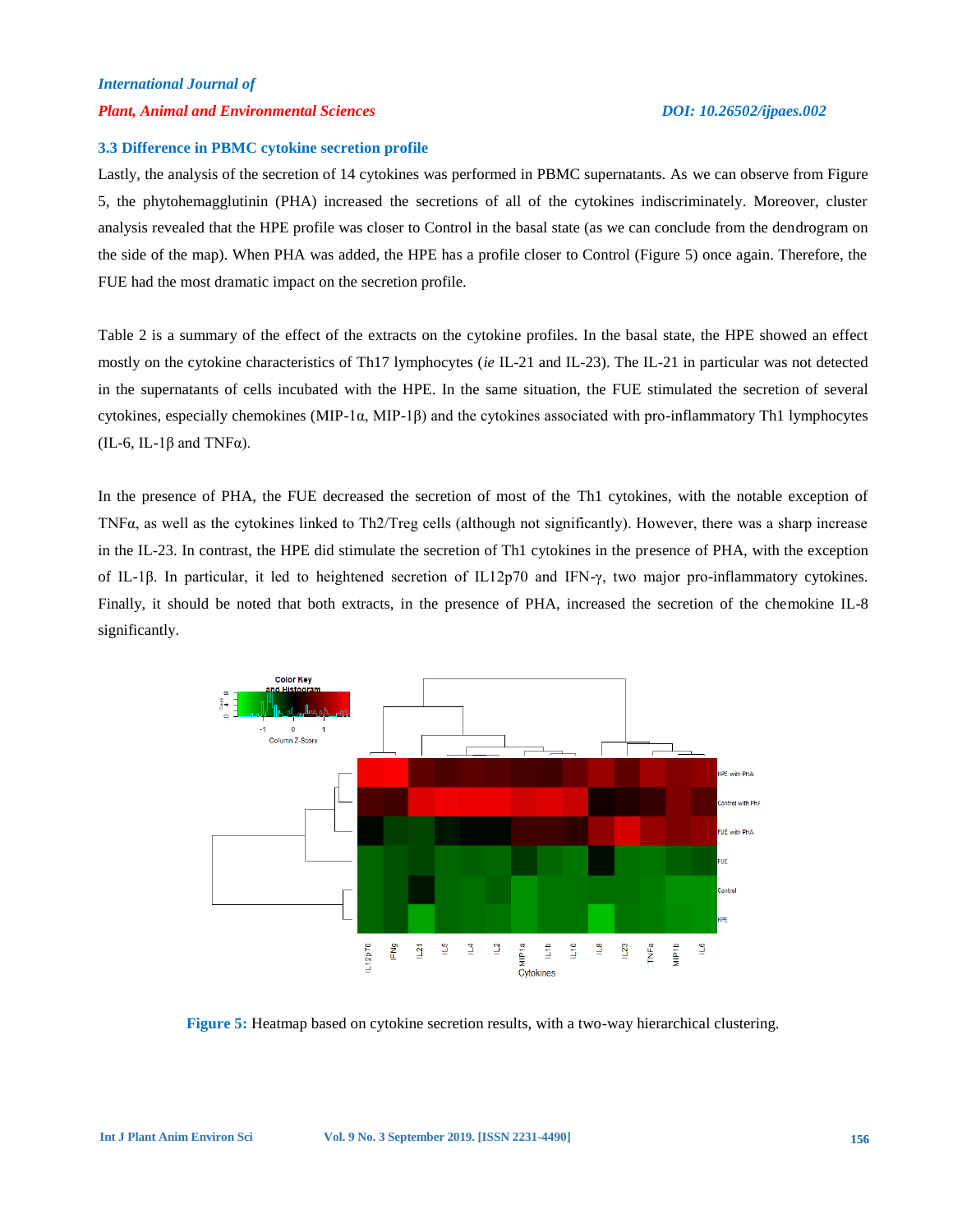## *International Journal of Plant, Animal and Environmental Sciences DOI: 10.26502/ijpaes.002*

#### **3.3 Difference in PBMC cytokine secretion profile**

Lastly, the analysis of the secretion of 14 cytokines was performed in PBMC supernatants. As we can observe from Figure 5, the phytohemagglutinin (PHA) increased the secretions of all of the cytokines indiscriminately. Moreover, cluster analysis revealed that the HPE profile was closer to Control in the basal state (as we can conclude from the dendrogram on the side of the map). When PHA was added, the HPE has a profile closer to Control (Figure 5) once again. Therefore, the FUE had the most dramatic impact on the secretion profile.

Table 2 is a summary of the effect of the extracts on the cytokine profiles. In the basal state, the HPE showed an effect mostly on the cytokine characteristics of Th17 lymphocytes (*ie* IL-21 and IL-23). The IL-21 in particular was not detected in the supernatants of cells incubated with the HPE. In the same situation, the FUE stimulated the secretion of several cytokines, especially chemokines (MIP-1 $\alpha$ , MIP-1 $\beta$ ) and the cytokines associated with pro-inflammatory Th1 lymphocytes (IL-6, IL-1 $\beta$  and TNF $\alpha$ ).

In the presence of PHA, the FUE decreased the secretion of most of the Th1 cytokines, with the notable exception of TNFα, as well as the cytokines linked to Th2/Treg cells (although not significantly). However, there was a sharp increase in the IL-23. In contrast, the HPE did stimulate the secretion of Th1 cytokines in the presence of PHA, with the exception of IL-1β. In particular, it led to heightened secretion of IL12p70 and IFN-γ, two major pro-inflammatory cytokines. Finally, it should be noted that both extracts, in the presence of PHA, increased the secretion of the chemokine IL-8 significantly.



**Figure 5:** Heatmap based on cytokine secretion results, with a two-way hierarchical clustering.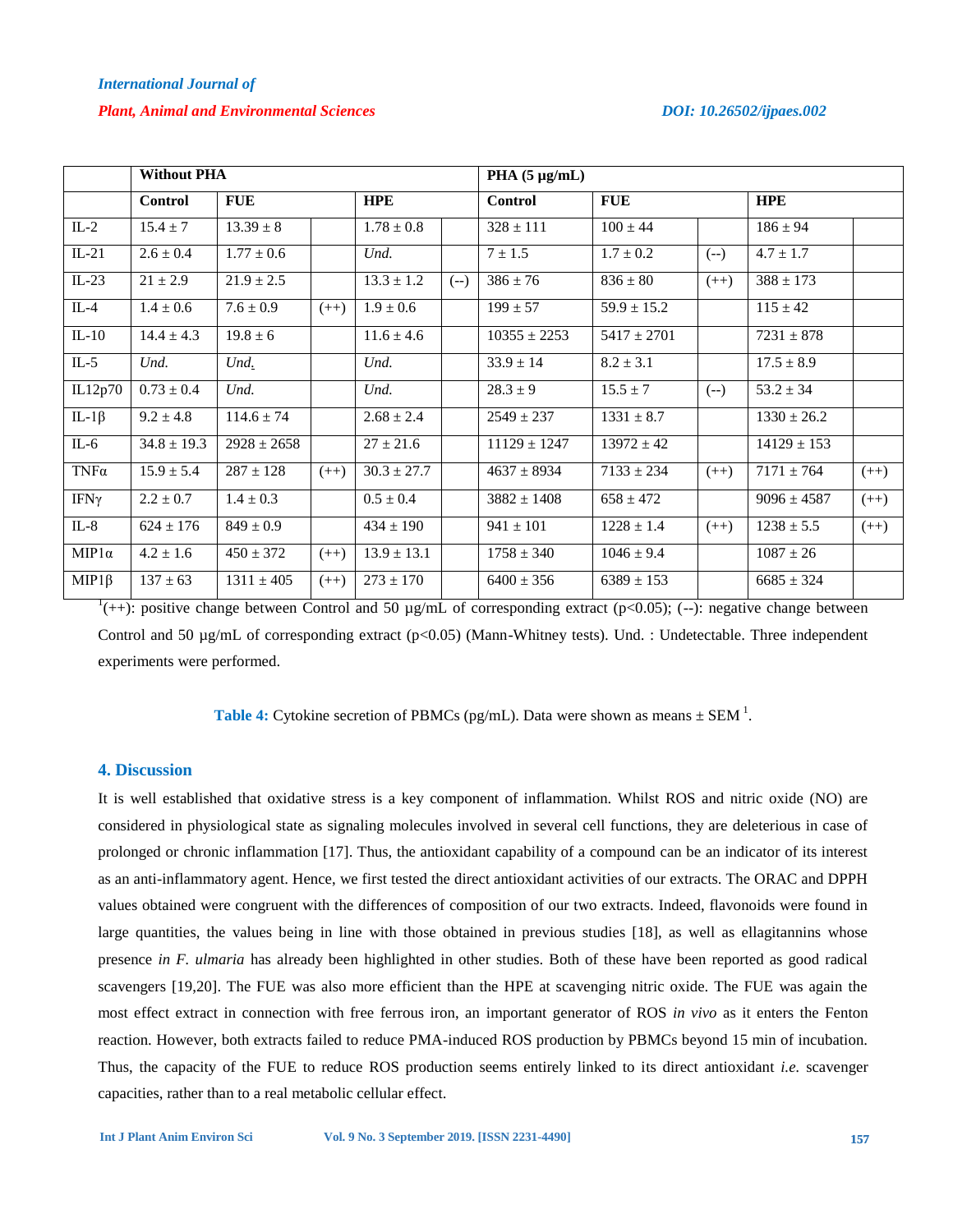|              | <b>Without PHA</b>        |                 |        |                 | PHA $(5 \mu g/mL)$ |                  |                 |        |                                     |        |
|--------------|---------------------------|-----------------|--------|-----------------|--------------------|------------------|-----------------|--------|-------------------------------------|--------|
|              | <b>Control</b>            | <b>FUE</b>      |        | <b>HPE</b>      |                    | <b>Control</b>   | <b>FUE</b>      |        | <b>HPE</b>                          |        |
| $IL-2$       | $15.4 \pm 7$              | $13.39 \pm 8$   |        | $1.78 \pm 0.8$  |                    | $328 \pm 111$    | $100 \pm 44$    |        | $186 \pm 94$                        |        |
| $IL-21$      | $2.6 \pm 0.4$             | $1.77 \pm 0.6$  |        | Und.            |                    | $7 \pm 1.5$      | $1.7 \pm 0.2$   | $(-)$  | $4.7 \pm 1.7$                       |        |
| $IL-23$      | $21 \pm 2.9$              | $21.9 \pm 2.5$  |        | $13.3 \pm 1.2$  | $(-)$              | $386 \pm 76$     | $836 \pm 80$    | $(++)$ | $388 \pm 173$                       |        |
| $IL-4$       | $1.4 \pm 0.6$             | $7.6 \pm 0.9$   | $(++)$ | $1.9 \pm 0.6$   |                    | $199 \pm 57$     | $59.9 \pm 15.2$ |        | $\frac{115 \pm 42}{115 \pm 42}$     |        |
| $IL-10$      | $14.4 \pm 4.3$            | $19.8 \pm 6$    |        | $11.6 \pm 4.6$  |                    | $10355 \pm 2253$ | $5417 \pm 2701$ |        | $7231 \pm 878$                      |        |
| $IL-5$       | Und.                      | Und.            |        | Und.            |                    | $33.9 \pm 14$    | $8.2 \pm 3.1$   |        | $17.5 \pm 8.9$                      |        |
| IL12p70      | $\overline{0.73} \pm 0.4$ | Und.            |        | Und.            |                    | $28.3 \pm 9$     | $15.5 \pm 7$    | $(-)$  | $53.2 \pm 34$                       |        |
| IL-1 $\beta$ | $9.2 \pm 4.8$             | $114.6 \pm 74$  |        | $2.68 \pm 2.4$  |                    | $2549 \pm 237$   | $1331 \pm 8.7$  |        | $1330 \pm 26.2$                     |        |
| $IL-6$       | $34.8 \pm 19.3$           | $2928 \pm 2658$ |        | $27 \pm 21.6$   |                    | $11129 \pm 1247$ | $13972 \pm 42$  |        | $14129 \pm 153$                     |        |
| $TNF\alpha$  | $15.9 \pm 5.4$            | $287 \pm 128$   | $(++)$ | $30.3 \pm 27.7$ |                    | $4637 \pm 8934$  | $7133 \pm 234$  | $(++)$ | $7171 \pm 764$                      | $(++)$ |
| IFΝγ         | $2.2 \pm 0.7$             | $1.4 \pm 0.3$   |        | $0.5 \pm 0.4$   |                    | $3882 \pm 1408$  | $658 \pm 472$   |        | $9096 \pm 4587$                     | $(++)$ |
| $IL-8$       | $624 \pm 176$             | $849 \pm 0.9$   |        | $434 \pm 190$   |                    | $941 \pm 101$    | $1228 \pm 1.4$  | $(++)$ | $1238 \pm 5.5$                      | $(++)$ |
| $MIP1\alpha$ | $4.2 \pm 1.6$             | $450 \pm 372$   | $(++)$ | $13.9 \pm 13.1$ |                    | $1758 \pm 340$   | $1046 \pm 9.4$  |        | $1087 \pm 26$                       |        |
| $MIP1\beta$  | $137 \pm 63$              | $1311 \pm 405$  | $(++)$ | $273 \pm 170$   |                    | $6400 \pm 356$   | $6389 \pm 153$  |        | $\frac{6685 \pm 324}{6685 \pm 324}$ |        |

 $1(+)$ : positive change between Control and 50 µg/mL of corresponding extract (p<0.05); (--): negative change between Control and 50 µg/mL of corresponding extract (p<0.05) (Mann-Whitney tests). Und. : Undetectable. Three independent experiments were performed.

**Table 4:** Cytokine secretion of PBMCs (pg/mL). Data were shown as means  $\pm$  SEM<sup>1</sup>.

### **4. Discussion**

It is well established that oxidative stress is a key component of inflammation. Whilst ROS and nitric oxide (NO) are considered in physiological state as signaling molecules involved in several cell functions, they are deleterious in case of prolonged or chronic inflammation [17]. Thus, the antioxidant capability of a compound can be an indicator of its interest as an anti-inflammatory agent. Hence, we first tested the direct antioxidant activities of our extracts. The ORAC and DPPH values obtained were congruent with the differences of composition of our two extracts. Indeed, flavonoids were found in large quantities, the values being in line with those obtained in previous studies [18], as well as ellagitannins whose presence *in F. ulmaria* has already been highlighted in other studies. Both of these have been reported as good radical scavengers [19,20]. The FUE was also more efficient than the HPE at scavenging nitric oxide. The FUE was again the most effect extract in connection with free ferrous iron, an important generator of ROS *in vivo* as it enters the Fenton reaction. However, both extracts failed to reduce PMA-induced ROS production by PBMCs beyond 15 min of incubation. Thus, the capacity of the FUE to reduce ROS production seems entirely linked to its direct antioxidant *i.e.* scavenger capacities, rather than to a real metabolic cellular effect.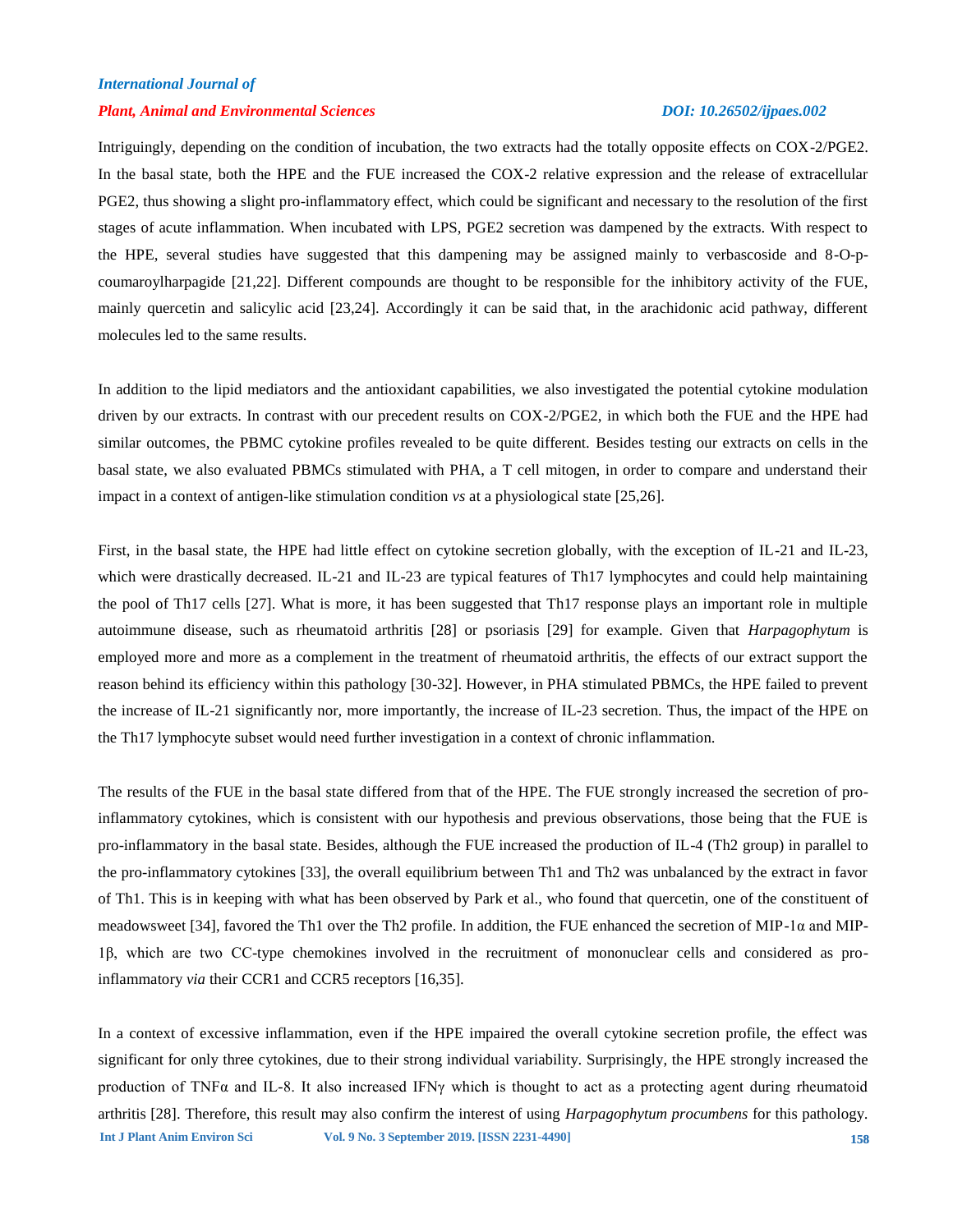#### *Plant, Animal and Environmental Sciences DOI: 10.26502/ijpaes.002*

Intriguingly, depending on the condition of incubation, the two extracts had the totally opposite effects on COX-2/PGE2. In the basal state, both the HPE and the FUE increased the COX-2 relative expression and the release of extracellular PGE2, thus showing a slight pro-inflammatory effect, which could be significant and necessary to the resolution of the first stages of acute inflammation. When incubated with LPS, PGE2 secretion was dampened by the extracts. With respect to the HPE, several studies have suggested that this dampening may be assigned mainly to verbascoside and 8-O-pcoumaroylharpagide [21,22]. Different compounds are thought to be responsible for the inhibitory activity of the FUE, mainly quercetin and salicylic acid [23,24]. Accordingly it can be said that, in the arachidonic acid pathway, different molecules led to the same results.

In addition to the lipid mediators and the antioxidant capabilities, we also investigated the potential cytokine modulation driven by our extracts. In contrast with our precedent results on COX-2/PGE2, in which both the FUE and the HPE had similar outcomes, the PBMC cytokine profiles revealed to be quite different. Besides testing our extracts on cells in the basal state, we also evaluated PBMCs stimulated with PHA, a T cell mitogen, in order to compare and understand their impact in a context of antigen-like stimulation condition *vs* at a physiological state [25,26].

First, in the basal state, the HPE had little effect on cytokine secretion globally, with the exception of IL-21 and IL-23, which were drastically decreased. IL-21 and IL-23 are typical features of Th17 lymphocytes and could help maintaining the pool of Th17 cells [27]. What is more, it has been suggested that Th17 response plays an important role in multiple autoimmune disease, such as rheumatoid arthritis [28] or psoriasis [29] for example. Given that *Harpagophytum* is employed more and more as a complement in the treatment of rheumatoid arthritis, the effects of our extract support the reason behind its efficiency within this pathology [30-32]. However, in PHA stimulated PBMCs, the HPE failed to prevent the increase of IL-21 significantly nor, more importantly, the increase of IL-23 secretion. Thus, the impact of the HPE on the Th17 lymphocyte subset would need further investigation in a context of chronic inflammation.

The results of the FUE in the basal state differed from that of the HPE. The FUE strongly increased the secretion of proinflammatory cytokines, which is consistent with our hypothesis and previous observations, those being that the FUE is pro-inflammatory in the basal state. Besides, although the FUE increased the production of IL-4 (Th2 group) in parallel to the pro-inflammatory cytokines [33], the overall equilibrium between Th1 and Th2 was unbalanced by the extract in favor of Th1. This is in keeping with what has been observed by Park et al., who found that quercetin, one of the constituent of meadowsweet [34], favored the Th1 over the Th2 profile. In addition, the FUE enhanced the secretion of MIP-1α and MIP-1β, which are two CC-type chemokines involved in the recruitment of mononuclear cells and considered as proinflammatory *via* their CCR1 and CCR5 receptors [16,35].

**Int J Plant Anim Environ Sci Vol. 9 No. 3 September 2019. [ISSN 2231-4490] 158** In a context of excessive inflammation, even if the HPE impaired the overall cytokine secretion profile, the effect was significant for only three cytokines, due to their strong individual variability. Surprisingly, the HPE strongly increased the production of TNFα and IL-8. It also increased IFNγ which is thought to act as a protecting agent during rheumatoid arthritis [28]. Therefore, this result may also confirm the interest of using *Harpagophytum procumbens* for this pathology.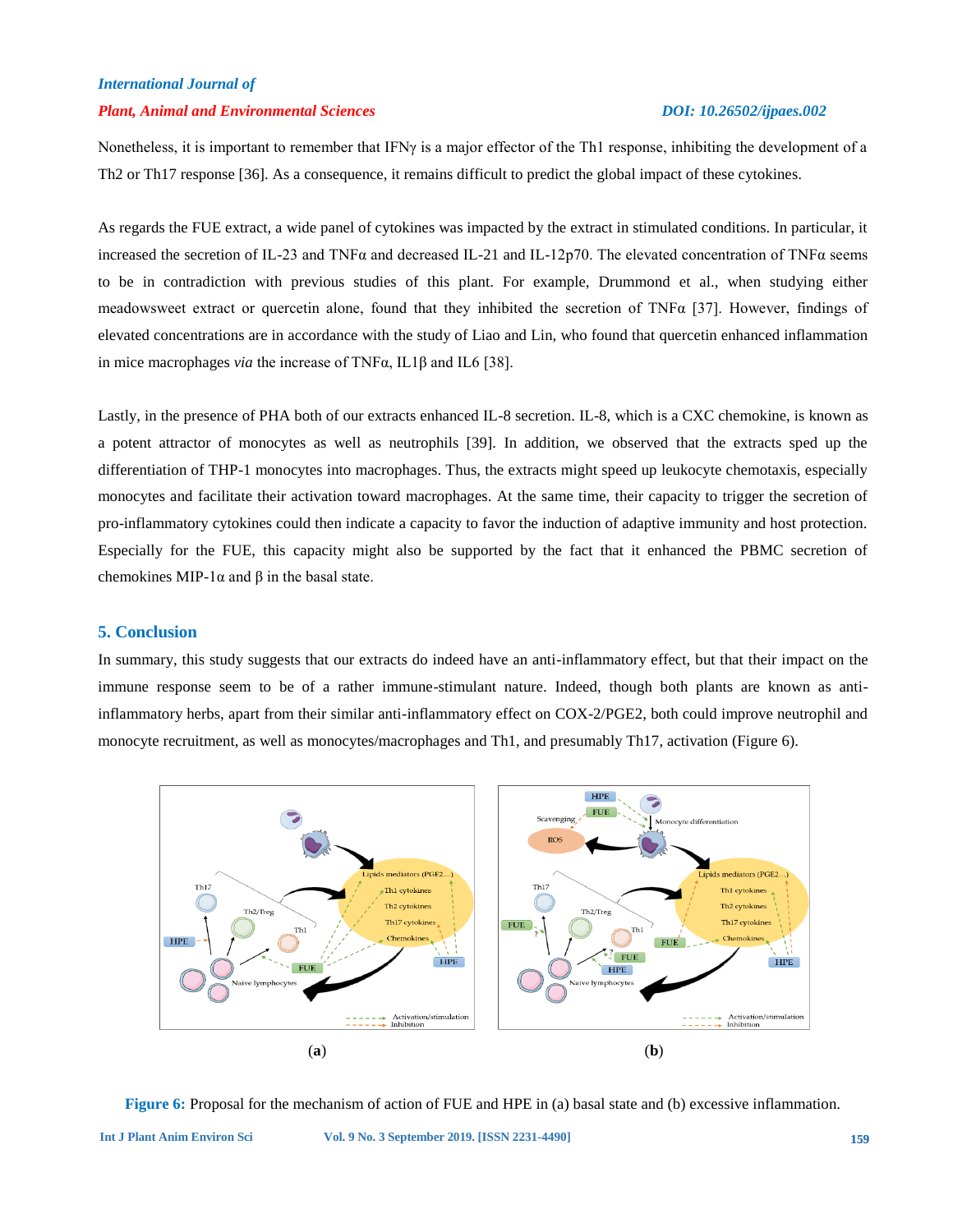### *Plant, Animal and Environmental Sciences DOI: 10.26502/ijpaes.002*

Nonetheless, it is important to remember that IFNγ is a major effector of the Th1 response, inhibiting the development of a Th2 or Th17 response [36]. As a consequence, it remains difficult to predict the global impact of these cytokines.

As regards the FUE extract, a wide panel of cytokines was impacted by the extract in stimulated conditions. In particular, it increased the secretion of IL-23 and TNF $\alpha$  and decreased IL-21 and IL-12p70. The elevated concentration of TNF $\alpha$  seems to be in contradiction with previous studies of this plant. For example, Drummond et al., when studying either meadowsweet extract or quercetin alone, found that they inhibited the secretion of TNF $\alpha$  [37]. However, findings of elevated concentrations are in accordance with the study of Liao and Lin, who found that quercetin enhanced inflammation in mice macrophages *via* the increase of TNFα, IL1β and IL6 [38].

Lastly, in the presence of PHA both of our extracts enhanced IL-8 secretion. IL-8, which is a CXC chemokine, is known as a potent attractor of monocytes as well as neutrophils [39]. In addition, we observed that the extracts sped up the differentiation of THP-1 monocytes into macrophages. Thus, the extracts might speed up leukocyte chemotaxis, especially monocytes and facilitate their activation toward macrophages. At the same time, their capacity to trigger the secretion of pro-inflammatory cytokines could then indicate a capacity to favor the induction of adaptive immunity and host protection. Especially for the FUE, this capacity might also be supported by the fact that it enhanced the PBMC secretion of chemokines MIP-1 $\alpha$  and  $\beta$  in the basal state.

### **5. Conclusion**

In summary, this study suggests that our extracts do indeed have an anti-inflammatory effect, but that their impact on the immune response seem to be of a rather immune-stimulant nature. Indeed, though both plants are known as antiinflammatory herbs, apart from their similar anti-inflammatory effect on COX-2/PGE2, both could improve neutrophil and monocyte recruitment, as well as monocytes/macrophages and Th1, and presumably Th17, activation (Figure 6).



**Int J Plant Anim Environ Sci Vol. 9 No. 3 September 2019. [ISSN 2231-4490] 159 Figure 6:** Proposal for the mechanism of action of FUE and HPE in (a) basal state and (b) excessive inflammation.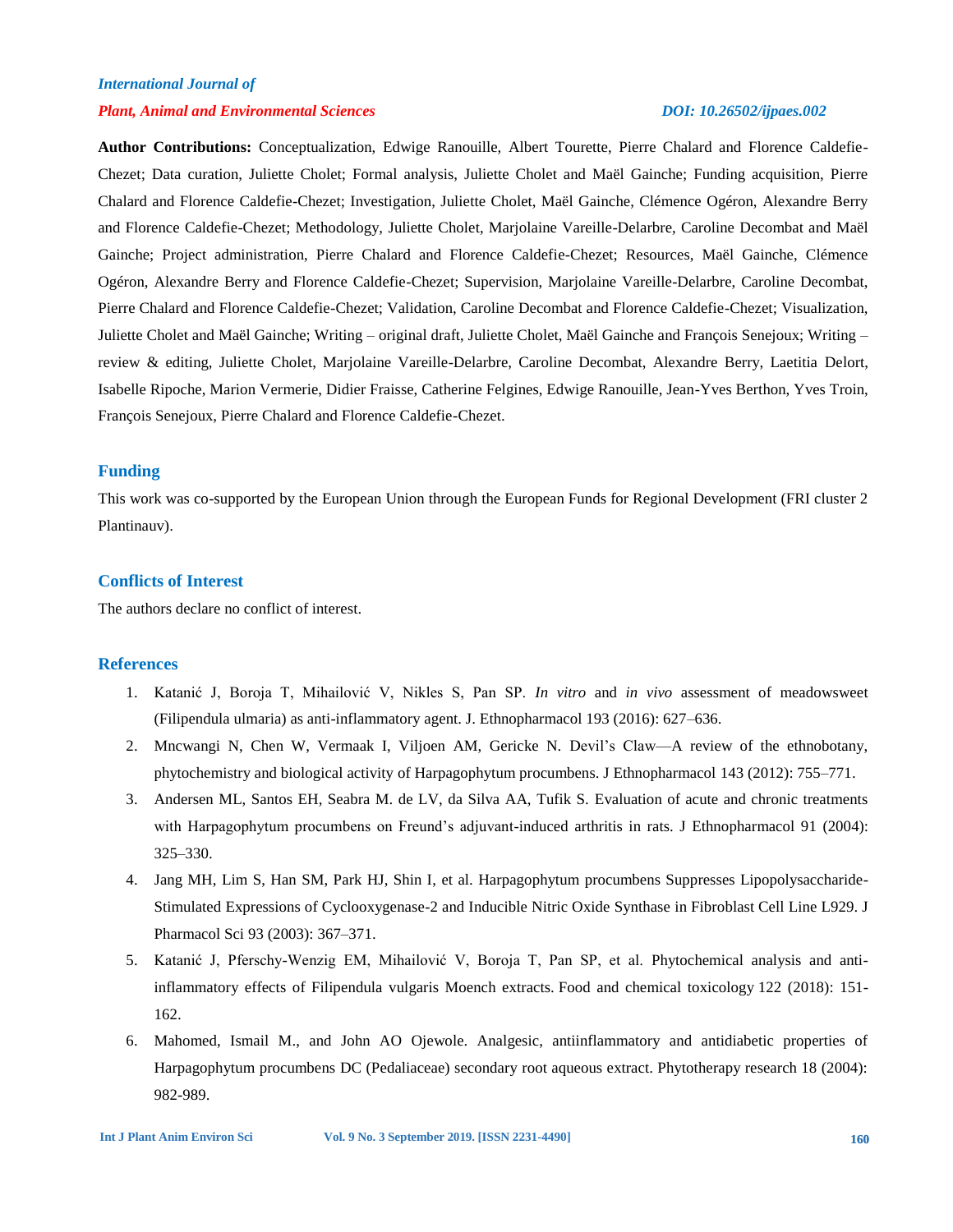## *International Journal of Plant, Animal and Environmental Sciences DOI: 10.26502/ijpaes.002*

**Author Contributions:** Conceptualization, Edwige Ranouille, Albert Tourette, Pierre Chalard and Florence Caldefie-Chezet; Data curation, Juliette Cholet; Formal analysis, Juliette Cholet and Maël Gainche; Funding acquisition, Pierre Chalard and Florence Caldefie-Chezet; Investigation, Juliette Cholet, Maël Gainche, Clémence Ogéron, Alexandre Berry and Florence Caldefie-Chezet; Methodology, Juliette Cholet, Marjolaine Vareille-Delarbre, Caroline Decombat and Maël Gainche; Project administration, Pierre Chalard and Florence Caldefie-Chezet; Resources, Maël Gainche, Clémence Ogéron, Alexandre Berry and Florence Caldefie-Chezet; Supervision, Marjolaine Vareille-Delarbre, Caroline Decombat, Pierre Chalard and Florence Caldefie-Chezet; Validation, Caroline Decombat and Florence Caldefie-Chezet; Visualization, Juliette Cholet and Maël Gainche; Writing – original draft, Juliette Cholet, Maël Gainche and François Senejoux; Writing – review & editing, Juliette Cholet, Marjolaine Vareille-Delarbre, Caroline Decombat, Alexandre Berry, Laetitia Delort, Isabelle Ripoche, Marion Vermerie, Didier Fraisse, Catherine Felgines, Edwige Ranouille, Jean-Yves Berthon, Yves Troin, François Senejoux, Pierre Chalard and Florence Caldefie-Chezet.

### **Funding**

This work was co-supported by the European Union through the European Funds for Regional Development (FRI cluster 2 Plantinauv).

### **Conflicts of Interest**

The authors declare no conflict of interest.

### **References**

- 1. Katanić J, Boroja T, Mihailović V, Nikles S, Pan SP. *In vitro* and *in vivo* assessment of meadowsweet (Filipendula ulmaria) as anti-inflammatory agent. J. Ethnopharmacol 193 (2016): 627–636.
- 2. Mncwangi N, Chen W, Vermaak I, Viljoen AM, Gericke N. Devil's Claw—A review of the ethnobotany, phytochemistry and biological activity of Harpagophytum procumbens. J Ethnopharmacol 143 (2012): 755–771.
- 3. Andersen ML, Santos EH, Seabra M. de LV, da Silva AA, Tufik S. Evaluation of acute and chronic treatments with Harpagophytum procumbens on Freund's adjuvant-induced arthritis in rats. J Ethnopharmacol 91 (2004): 325–330.
- 4. Jang MH, Lim S, Han SM, Park HJ, Shin I, et al. Harpagophytum procumbens Suppresses Lipopolysaccharide-Stimulated Expressions of Cyclooxygenase-2 and Inducible Nitric Oxide Synthase in Fibroblast Cell Line L929. J Pharmacol Sci 93 (2003): 367–371.
- 5. Katanić J, Pferschy-Wenzig EM, Mihailović V, Boroja T, Pan SP, et al. Phytochemical analysis and antiinflammatory effects of Filipendula vulgaris Moench extracts. Food and chemical toxicology 122 (2018): 151- 162.
- 6. Mahomed, Ismail M., and John AO Ojewole. Analgesic, antiinflammatory and antidiabetic properties of Harpagophytum procumbens DC (Pedaliaceae) secondary root aqueous extract. Phytotherapy research 18 (2004): 982-989.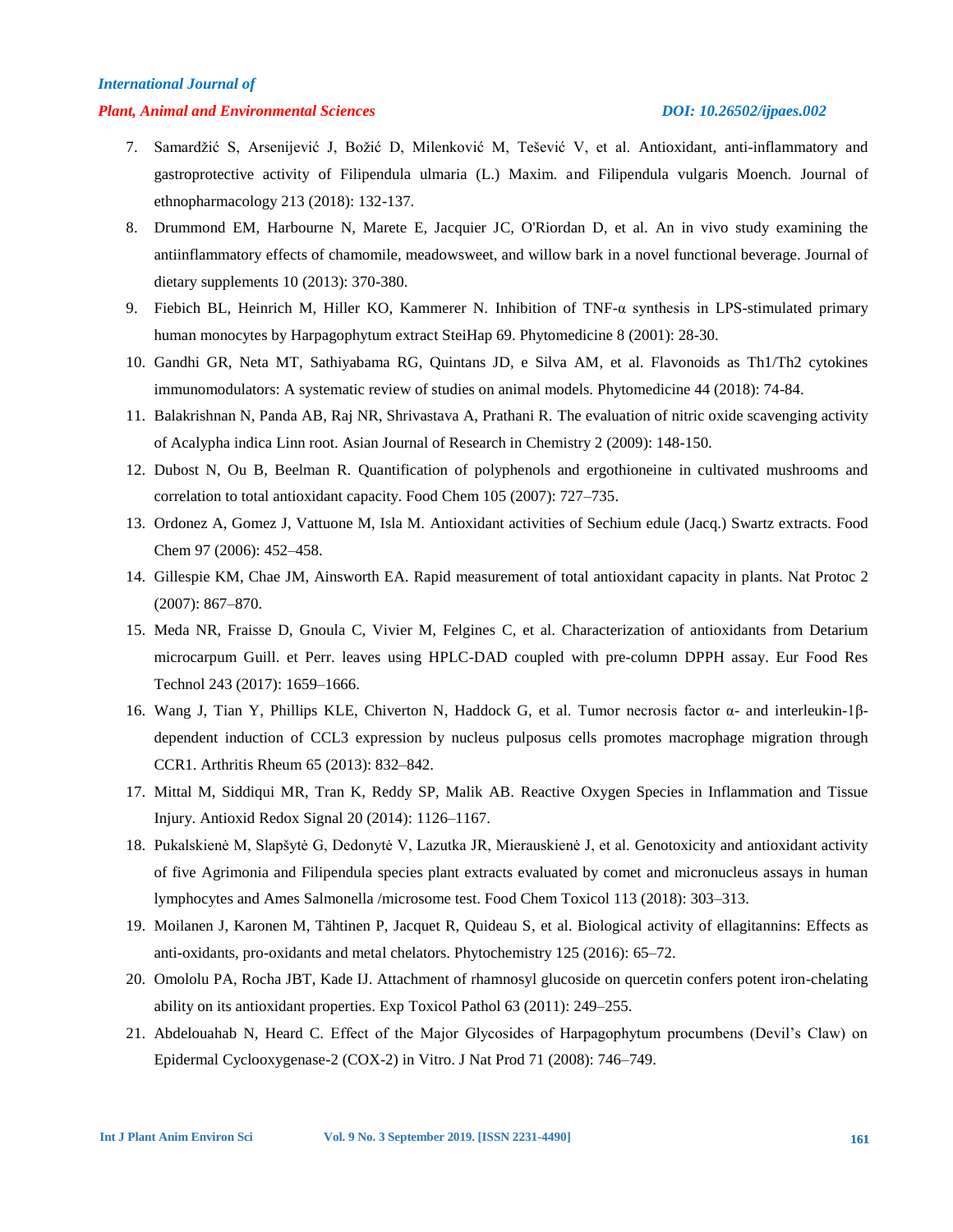#### *Plant, Animal and Environmental Sciences DOI: 10.26502/ijpaes.002*

- 7. Samardžić S, Arsenijević J, Božić D, Milenković M, Tešević V, et al. Antioxidant, anti-inflammatory and gastroprotective activity of Filipendula ulmaria (L.) Maxim. and Filipendula vulgaris Moench. Journal of ethnopharmacology 213 (2018): 132-137.
- 8. Drummond EM, Harbourne N, Marete E, Jacquier JC, O'Riordan D, et al. An in vivo study examining the antiinflammatory effects of chamomile, meadowsweet, and willow bark in a novel functional beverage. Journal of dietary supplements 10 (2013): 370-380.
- 9. Fiebich BL, Heinrich M, Hiller KO, Kammerer N. Inhibition of TNF-α synthesis in LPS-stimulated primary human monocytes by Harpagophytum extract SteiHap 69. Phytomedicine 8 (2001): 28-30.
- 10. Gandhi GR, Neta MT, Sathiyabama RG, Quintans JD, e Silva AM, et al. Flavonoids as Th1/Th2 cytokines immunomodulators: A systematic review of studies on animal models. Phytomedicine 44 (2018): 74-84.
- 11. Balakrishnan N, Panda AB, Raj NR, Shrivastava A, Prathani R. The evaluation of nitric oxide scavenging activity of Acalypha indica Linn root. Asian Journal of Research in Chemistry 2 (2009): 148-150.
- 12. Dubost N, Ou B, Beelman R. Quantification of polyphenols and ergothioneine in cultivated mushrooms and correlation to total antioxidant capacity. Food Chem 105 (2007): 727–735.
- 13. Ordonez A, Gomez J, Vattuone M, Isla M. Antioxidant activities of Sechium edule (Jacq.) Swartz extracts. Food Chem 97 (2006): 452–458.
- 14. Gillespie KM, Chae JM, Ainsworth EA. Rapid measurement of total antioxidant capacity in plants. Nat Protoc 2 (2007): 867–870.
- 15. Meda NR, Fraisse D, Gnoula C, Vivier M, Felgines C, et al. Characterization of antioxidants from Detarium microcarpum Guill. et Perr. leaves using HPLC-DAD coupled with pre-column DPPH assay. Eur Food Res Technol 243 (2017): 1659–1666.
- 16. Wang J, Tian Y, Phillips KLE, Chiverton N, Haddock G, et al. Tumor necrosis factor α- and interleukin-1βdependent induction of CCL3 expression by nucleus pulposus cells promotes macrophage migration through CCR1. Arthritis Rheum 65 (2013): 832–842.
- 17. Mittal M, Siddiqui MR, Tran K, Reddy SP, Malik AB. Reactive Oxygen Species in Inflammation and Tissue Injury. Antioxid Redox Signal 20 (2014): 1126–1167.
- 18. Pukalskienė M, Slapšytė G, Dedonytė V, Lazutka JR, Mierauskienė J, et al. Genotoxicity and antioxidant activity of five Agrimonia and Filipendula species plant extracts evaluated by comet and micronucleus assays in human lymphocytes and Ames Salmonella /microsome test. Food Chem Toxicol 113 (2018): 303–313.
- 19. Moilanen J, Karonen M, Tähtinen P, Jacquet R, Quideau S, et al. Biological activity of ellagitannins: Effects as anti-oxidants, pro-oxidants and metal chelators. Phytochemistry 125 (2016): 65–72.
- 20. Omololu PA, Rocha JBT, Kade IJ. Attachment of rhamnosyl glucoside on quercetin confers potent iron-chelating ability on its antioxidant properties. Exp Toxicol Pathol 63 (2011): 249–255.
- 21. Abdelouahab N, Heard C. Effect of the Major Glycosides of Harpagophytum procumbens (Devil's Claw) on Epidermal Cyclooxygenase-2 (COX-2) in Vitro. J Nat Prod 71 (2008): 746–749.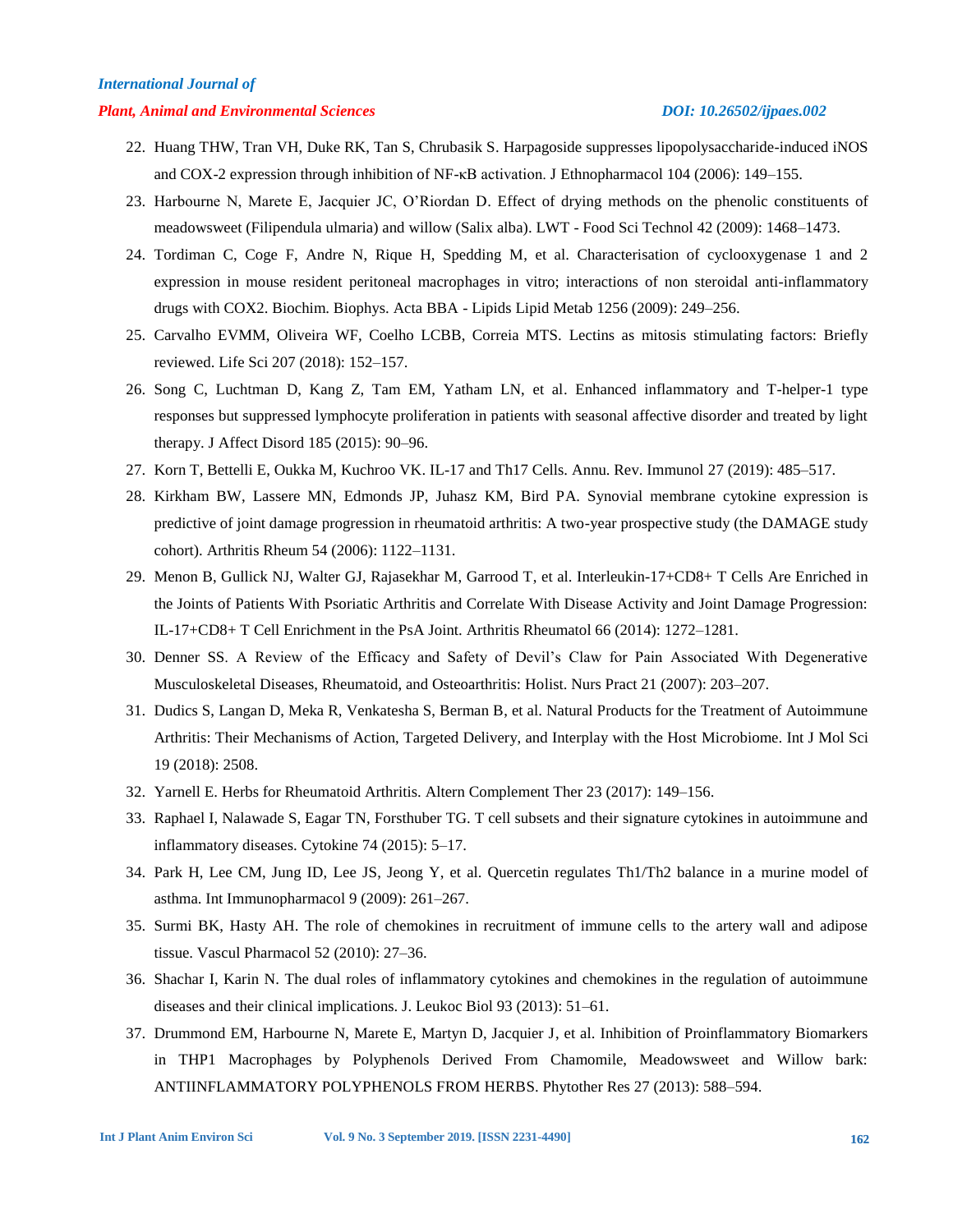#### *Plant, Animal and Environmental Sciences DOI: 10.26502/ijpaes.002*

- 22. Huang THW, Tran VH, Duke RK, Tan S, Chrubasik S. Harpagoside suppresses lipopolysaccharide-induced iNOS and COX-2 expression through inhibition of NF-κB activation. J Ethnopharmacol 104 (2006): 149–155.
- 23. Harbourne N, Marete E, Jacquier JC, O'Riordan D. Effect of drying methods on the phenolic constituents of meadowsweet (Filipendula ulmaria) and willow (Salix alba). LWT - Food Sci Technol 42 (2009): 1468–1473.
- 24. Tordiman C, Coge F, Andre N, Rique H, Spedding M, et al. Characterisation of cyclooxygenase 1 and 2 expression in mouse resident peritoneal macrophages in vitro; interactions of non steroidal anti-inflammatory drugs with COX2. Biochim. Biophys. Acta BBA - Lipids Lipid Metab 1256 (2009): 249–256.
- 25. Carvalho EVMM, Oliveira WF, Coelho LCBB, Correia MTS. Lectins as mitosis stimulating factors: Briefly reviewed. Life Sci 207 (2018): 152–157.
- 26. Song C, Luchtman D, Kang Z, Tam EM, Yatham LN, et al. Enhanced inflammatory and T-helper-1 type responses but suppressed lymphocyte proliferation in patients with seasonal affective disorder and treated by light therapy. J Affect Disord 185 (2015): 90–96.
- 27. Korn T, Bettelli E, Oukka M, Kuchroo VK. IL-17 and Th17 Cells. Annu. Rev. Immunol 27 (2019): 485–517.
- 28. Kirkham BW, Lassere MN, Edmonds JP, Juhasz KM, Bird PA. Synovial membrane cytokine expression is predictive of joint damage progression in rheumatoid arthritis: A two-year prospective study (the DAMAGE study cohort). Arthritis Rheum 54 (2006): 1122–1131.
- 29. Menon B, Gullick NJ, Walter GJ, Rajasekhar M, Garrood T, et al. Interleukin-17+CD8+ T Cells Are Enriched in the Joints of Patients With Psoriatic Arthritis and Correlate With Disease Activity and Joint Damage Progression: IL-17+CD8+ T Cell Enrichment in the PsA Joint. Arthritis Rheumatol 66 (2014): 1272–1281.
- 30. Denner SS. A Review of the Efficacy and Safety of Devil's Claw for Pain Associated With Degenerative Musculoskeletal Diseases, Rheumatoid, and Osteoarthritis: Holist. Nurs Pract 21 (2007): 203–207.
- 31. Dudics S, Langan D, Meka R, Venkatesha S, Berman B, et al. Natural Products for the Treatment of Autoimmune Arthritis: Their Mechanisms of Action, Targeted Delivery, and Interplay with the Host Microbiome. Int J Mol Sci 19 (2018): 2508.
- 32. Yarnell E. Herbs for Rheumatoid Arthritis. Altern Complement Ther 23 (2017): 149–156.
- 33. Raphael I, Nalawade S, Eagar TN, Forsthuber TG. T cell subsets and their signature cytokines in autoimmune and inflammatory diseases. Cytokine 74 (2015): 5–17.
- 34. Park H, Lee CM, Jung ID, Lee JS, Jeong Y, et al. Quercetin regulates Th1/Th2 balance in a murine model of asthma. Int Immunopharmacol 9 (2009): 261–267.
- 35. Surmi BK, Hasty AH. The role of chemokines in recruitment of immune cells to the artery wall and adipose tissue. Vascul Pharmacol 52 (2010): 27–36.
- 36. Shachar I, Karin N. The dual roles of inflammatory cytokines and chemokines in the regulation of autoimmune diseases and their clinical implications. J. Leukoc Biol 93 (2013): 51–61.
- 37. Drummond EM, Harbourne N, Marete E, Martyn D, Jacquier J, et al. Inhibition of Proinflammatory Biomarkers in THP1 Macrophages by Polyphenols Derived From Chamomile, Meadowsweet and Willow bark: ANTIINFLAMMATORY POLYPHENOLS FROM HERBS. Phytother Res 27 (2013): 588–594.